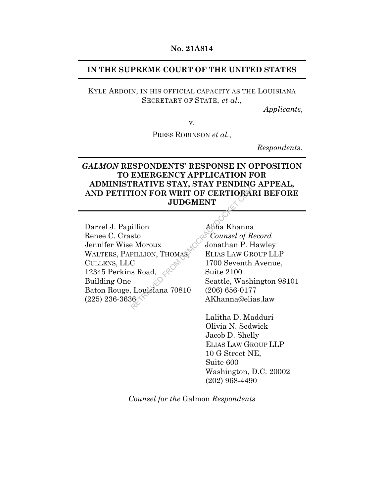#### **No. 21A814**

### **IN THE SUPREME COURT OF THE UNITED STATES**

KYLE ARDOIN, IN HIS OFFICIAL CAPACITY AS THE LOUISIANA SECRETARY OF STATE, *et al.*,

*Applicants*,

v.

PRESS ROBINSON *et al.*,

*Respondents*.

## *GALMON* **RESPONDENTS' RESPONSE IN OPPOSITION TO EMERGENCY APPLICATION FOR ADMINISTRATIVE STAY, STAY PENDING APPEAL, AND PETITION FOR WRIT OF CERTIORARI BEFORE JUDGMENT**

Darrel J. Papillion Renee C. Crasto Jennifer Wise Moroux WALTERS, PAPILLION, THOMAS, CULLENS, LLC 12345 Perkins Road, Building One Baton Rouge, Louisiana 70810 (225) 236-3636 FOR WRIT OF CERTIORA<br>
JUDGMENT<br>
Stole Moroux<br>
PILLION, THOMAS, ELIAS LAW GR<br>
C<br>
Stock Suite 2100<br>
Stattle, Wash<br>
C<br>
Louisiana 70810 (206) 656-017<br>
AKhanna@eli<br>
AKhanna@eli

Abha Khanna  *Counsel of Record* Jonathan P. Hawley ELIAS LAW GROUP LLP 1700 Seventh Avenue, Suite 2100 Seattle, Washington 98101 (206) 656-0177 AKhanna@elias.law

Lalitha D. Madduri Olivia N. Sedwick Jacob D. Shelly ELIAS LAW GROUP LLP 10 G Street NE, Suite 600 Washington, D.C. 20002 (202) 968-4490

*Counsel for the* Galmon *Respondents*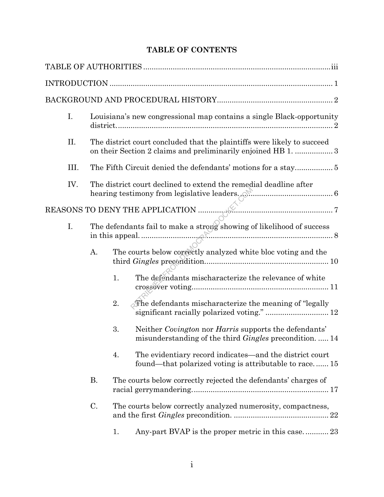# **TABLE OF CONTENTS**

| I.   |                                                                   | Louisiana's new congressional map contains a single Black-opportunity                                                                   |  |  |
|------|-------------------------------------------------------------------|-----------------------------------------------------------------------------------------------------------------------------------------|--|--|
| ΙΙ.  |                                                                   | The district court concluded that the plaintiffs were likely to succeed<br>on their Section 2 claims and preliminarily enjoined HB 1. 3 |  |  |
| III. |                                                                   |                                                                                                                                         |  |  |
| IV.  | The district court declined to extend the remedial deadline after |                                                                                                                                         |  |  |
|      |                                                                   |                                                                                                                                         |  |  |
| I.   |                                                                   | The defendants fail to make a strong showing of likelihood of success                                                                   |  |  |
|      | Α.                                                                | The courts below correctly analyzed white bloc voting and the                                                                           |  |  |
|      |                                                                   | 1.<br>The defendants mischaracterize the relevance of white                                                                             |  |  |
|      |                                                                   | The defendants mischaracterize the meaning of "legally"<br>2.<br>significant racially polarized voting."  12                            |  |  |
|      |                                                                   | Neither Covington nor Harris supports the defendants'<br>3.<br>misunderstanding of the third Gingles precondition.  14                  |  |  |
|      |                                                                   | The evidentiary record indicates—and the district court<br>4.<br>found—that polarized voting is attributable to race 15                 |  |  |
|      | <b>B.</b>                                                         | The courts below correctly rejected the defendants' charges of                                                                          |  |  |
|      | C.                                                                | The courts below correctly analyzed numerosity, compactness,                                                                            |  |  |
|      |                                                                   | Any-part BVAP is the proper metric in this case 23<br>1.                                                                                |  |  |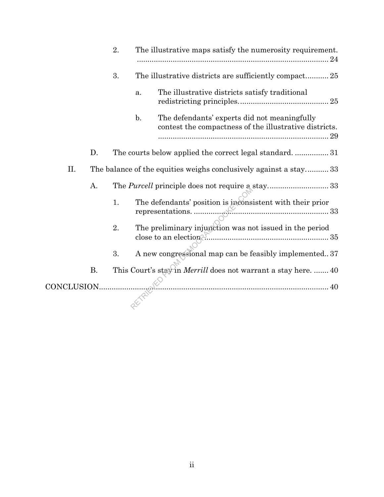|             |           | 2. |                | The illustrative maps satisfy the numerosity requirement.<br>24                                              |
|-------------|-----------|----|----------------|--------------------------------------------------------------------------------------------------------------|
|             |           | 3. |                | The illustrative districts are sufficiently compact 25                                                       |
|             |           |    | a.             | The illustrative districts satisfy traditional                                                               |
|             |           |    | $\mathbf{b}$ . | The defendants' experts did not meaningfully<br>contest the compactness of the illustrative districts.<br>29 |
|             | D.        |    |                | The courts below applied the correct legal standard 31                                                       |
| II.         |           |    |                | The balance of the equities weighs conclusively against a stay 33                                            |
|             | А.        |    |                |                                                                                                              |
|             |           | 1. |                | The defendants' position is inconsistent with their prior                                                    |
|             |           | 2. |                | The preliminary injunction was not issued in the period                                                      |
|             |           | 3. |                | A new congressional map can be feasibly implemented 37                                                       |
|             | <b>B.</b> |    |                | This Court's stay in <i>Merrill</i> does not warrant a stay here.  40                                        |
| CONCLUSION. |           |    |                |                                                                                                              |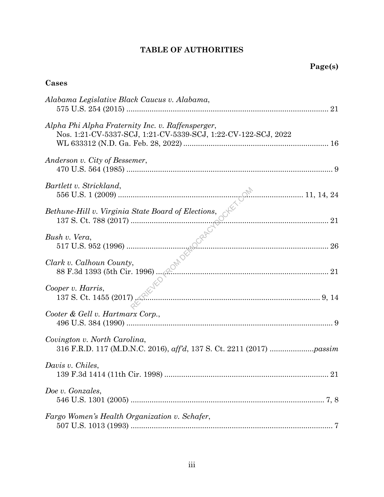# **TABLE OF AUTHORITIES**

# **Cases**

| Alabama Legislative Black Caucus v. Alabama,                                                                        |  |
|---------------------------------------------------------------------------------------------------------------------|--|
| Alpha Phi Alpha Fraternity Inc. v. Raffensperger,<br>Nos. 1:21-CV-5337-SCJ, 1:21-CV-5339-SCJ, 1:22-CV-122-SCJ, 2022 |  |
| Anderson v. City of Bessemer,                                                                                       |  |
| Bartlett v. Strickland,                                                                                             |  |
|                                                                                                                     |  |
|                                                                                                                     |  |
|                                                                                                                     |  |
| 137 S. Ct. 1455 (2017)<br>Cooper v. Harris,<br>$\sim$ 9, 14                                                         |  |
| Cooter & Gell v. Hartmarx Corp.,                                                                                    |  |
| Covington v. North Carolina,                                                                                        |  |
| Davis v. Chiles,<br>139 F.3d 1414 (11th Cir. 1998)<br>21                                                            |  |
| Doe v. Gonzales,                                                                                                    |  |
| Fargo Women's Health Organization v. Schafer,                                                                       |  |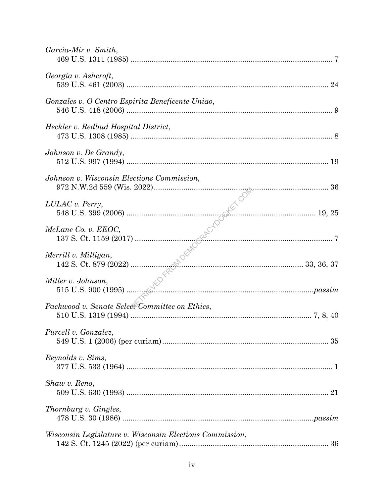| Garcia-Mir v. Smith,                                     |  |
|----------------------------------------------------------|--|
| Georgia v. Ashcroft,                                     |  |
| Gonzales v. O Centro Espirita Beneficente Uniao,         |  |
| Heckler v. Redbud Hospital District,                     |  |
| Johnson v. De Grandy,                                    |  |
| Johnson v. Wisconsin Elections Commission,               |  |
| LULAC v. Perry,                                          |  |
| McLane Co. v. EEOC,                                      |  |
| Merrill v. Milligan,                                     |  |
| Miller v. Johnson,                                       |  |
| Packwood v. Senate Select Committee on Ethics,           |  |
| Purcell v. Gonzalez,                                     |  |
| Reynolds v. Sims,                                        |  |
| Shaw v. Reno,                                            |  |
| Thornburg v. Gingles,                                    |  |
| Wisconsin Legislature v. Wisconsin Elections Commission, |  |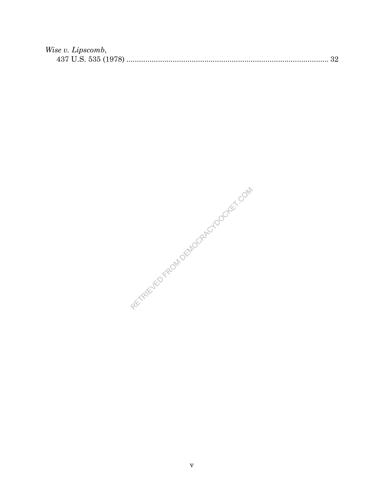| Wise v. Lipscomb, |  |
|-------------------|--|
|                   |  |

RETRIEVED FROM DEMOCRACYDOCKET.COM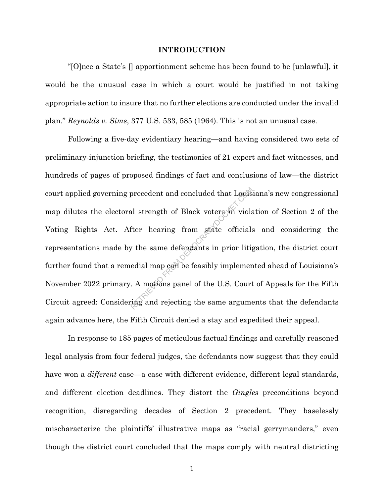#### **INTRODUCTION**

"[O]nce a State's [] apportionment scheme has been found to be [unlawful], it would be the unusual case in which a court would be justified in not taking appropriate action to insure that no further elections are conducted under the invalid plan." *Reynolds v. Sims*, 377 U.S. 533, 585 (1964). This is not an unusual case.

Following a five-day evidentiary hearing—and having considered two sets of preliminary-injunction briefing, the testimonies of 21 expert and fact witnesses, and hundreds of pages of proposed findings of fact and conclusions of law—the district court applied governing precedent and concluded that Louisiana's new congressional map dilutes the electoral strength of Black voters in violation of Section 2 of the Voting Rights Act. After hearing from state officials and considering the representations made by the same defendants in prior litigation, the district court further found that a remedial map can be feasibly implemented ahead of Louisiana's November 2022 primary. A motions panel of the U.S. Court of Appeals for the Fifth Circuit agreed: Considering and rejecting the same arguments that the defendants again advance here, the Fifth Circuit denied a stay and expedited their appeal. precedent and concluded that Louis<br>al strength of Black voters in viola<br>fter hearing from state officials<br>y the same defendants in prior litia<br>edial map can be feasibly implement.<br>A motions panel of the U.S. Court<br>ring and

In response to 185 pages of meticulous factual findings and carefully reasoned legal analysis from four federal judges, the defendants now suggest that they could have won a *different* case—a case with different evidence, different legal standards, and different election deadlines. They distort the *Gingles* preconditions beyond recognition, disregarding decades of Section 2 precedent. They baselessly mischaracterize the plaintiffs' illustrative maps as "racial gerrymanders," even though the district court concluded that the maps comply with neutral districting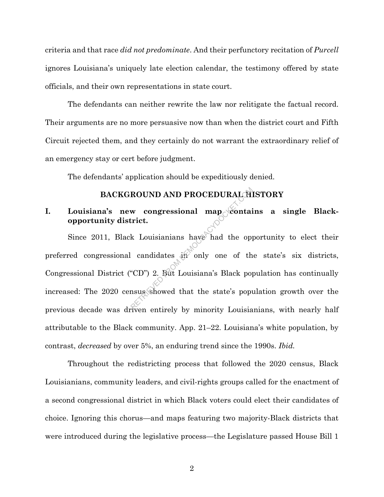criteria and that race *did not predominate*. And their perfunctory recitation of *Purcell* ignores Louisiana's uniquely late election calendar, the testimony offered by state officials, and their own representations in state court.

The defendants can neither rewrite the law nor relitigate the factual record. Their arguments are no more persuasive now than when the district court and Fifth Circuit rejected them, and they certainly do not warrant the extraordinary relief of an emergency stay or cert before judgment.

The defendants' application should be expeditiously denied.

### **BACKGROUND AND PROCEDURAL HISTORY**

## I. Louisiana's new congressional map contains a single Black**opportunity district.**

Since 2011, Black Louisianians have had the opportunity to elect their preferred congressional candidates in only one of the state's six districts, Congressional District ("CD") 2. But Louisiana's Black population has continually increased: The 2020 census showed that the state's population growth over the previous decade was driven entirely by minority Louisianians, with nearly half attributable to the Black community. App. 21–22. Louisiana's white population, by contrast, *decreased* by over 5%, an enduring trend since the 1990s. *Ibid.* ROUND AND PROCEDURAL THE WARD CONTROLL TO THE WARD OF STRING THE MOVING CONTROLL TO A LOUISIANIAN SHOW ON CONTROLL TO A CONTROLL TO A SUMPLE TO A BUT CONTROLL TO A SHOW OF THE MOVING SHOW OF THE STRING OF THE STRING OF THE

Throughout the redistricting process that followed the 2020 census, Black Louisianians, community leaders, and civil-rights groups called for the enactment of a second congressional district in which Black voters could elect their candidates of choice. Ignoring this chorus—and maps featuring two majority-Black districts that were introduced during the legislative process—the Legislature passed House Bill 1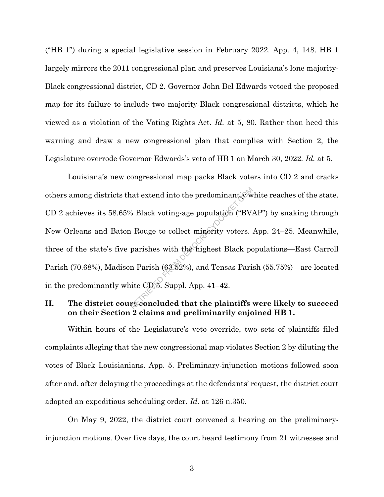("HB 1") during a special legislative session in February 2022. App. 4, 148. HB 1 largely mirrors the 2011 congressional plan and preserves Louisiana's lone majority-Black congressional district, CD 2. Governor John Bel Edwards vetoed the proposed map for its failure to include two majority-Black congressional districts, which he viewed as a violation of the Voting Rights Act*. Id.* at 5, 80. Rather than heed this warning and draw a new congressional plan that complies with Section 2, the Legislature overrode Governor Edwards's veto of HB 1 on March 30, 2022*. Id.* at 5.

Louisiana's new congressional map packs Black voters into CD 2 and cracks others among districts that extend into the predominantly white reaches of the state. CD 2 achieves its 58.65% Black voting-age population ("BVAP") by snaking through New Orleans and Baton Rouge to collect minority voters. App. 24–25. Meanwhile, three of the state's five parishes with the highest Black populations—East Carroll Parish (70.68%), Madison Parish (63.52%), and Tensas Parish (55.75%)—are located in the predominantly white CD 5. Suppl. App. 41–42. at extend into the predominantly w<br>
6 Black voting-age population ("BV<br>
1 Rouge to collect minerity voters.<br>
parishes with the highest Black po<br>
n Parish (63.82%), and Tensas Pari<br>
ite CD 5. Suppl. App. 41–42.<br>
reconcluded

## **II. The district court concluded that the plaintiffs were likely to succeed on their Section 2 claims and preliminarily enjoined HB 1.**

Within hours of the Legislature's veto override, two sets of plaintiffs filed complaints alleging that the new congressional map violates Section 2 by diluting the votes of Black Louisianians. App. 5. Preliminary-injunction motions followed soon after and, after delaying the proceedings at the defendants' request, the district court adopted an expeditious scheduling order. *Id.* at 126 n.350.

On May 9, 2022, the district court convened a hearing on the preliminaryinjunction motions. Over five days, the court heard testimony from 21 witnesses and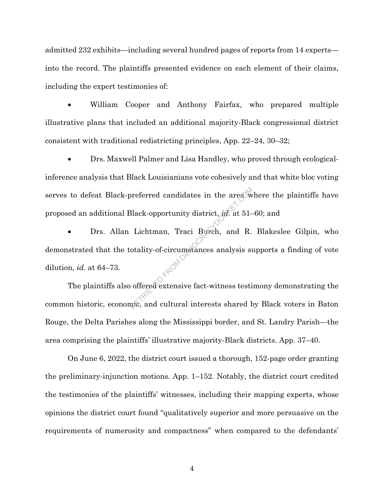admitted 232 exhibits—including several hundred pages of reports from 14 experts into the record. The plaintiffs presented evidence on each element of their claims, including the expert testimonies of:

• William Cooper and Anthony Fairfax, who prepared multiple illustrative plans that included an additional majority-Black congressional district consistent with traditional redistricting principles, App. 22–24, 30–32;

• Drs. Maxwell Palmer and Lisa Handley, who proved through ecologicalinference analysis that Black Louisianians vote cohesively and that white bloc voting serves to defeat Black-preferred candidates in the area where the plaintiffs have proposed an additional Black-opportunity district, *id.* at 51–60; and

Drs. Allan Lichtman, Traci Burch, and R. Blakeslee Gilpin, who demonstrated that the totality-of-circumstances analysis supports a finding of vote dilution, *id.* at 64–73. expective in the area with all ack-opportunity district, *id* at 51-<br>Lichtman, Traci Burch, and R.<br>otality-of-circumstances analysis supported analysis supported activities that<br>offered extensive fact-witness testing and c

The plaintiffs also offered extensive fact-witness testimony demonstrating the common historic, economic, and cultural interests shared by Black voters in Baton Rouge, the Delta Parishes along the Mississippi border, and St. Landry Parish—the area comprising the plaintiffs' illustrative majority-Black districts. App. 37–40.

On June 6, 2022, the district court issued a thorough, 152-page order granting the preliminary-injunction motions. App. 1–152. Notably, the district court credited the testimonies of the plaintiffs' witnesses, including their mapping experts, whose opinions the district court found "qualitatively superior and more persuasive on the requirements of numerosity and compactness" when compared to the defendants'

4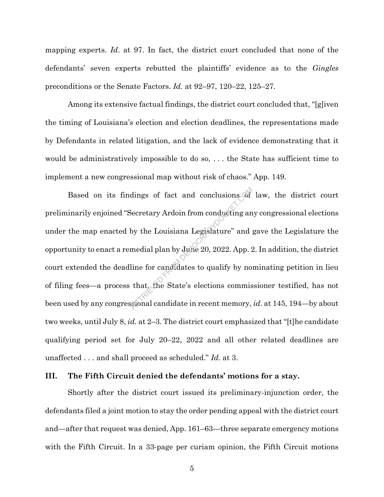mapping experts. *Id*. at 97. In fact, the district court concluded that none of the defendants' seven experts rebutted the plaintiffs' evidence as to the *Gingles* preconditions or the Senate Factors. *Id.* at 92–97, 120–22, 125–27.

Among its extensive factual findings, the district court concluded that, "[g]iven the timing of Louisiana's election and election deadlines, the representations made by Defendants in related litigation, and the lack of evidence demonstrating that it would be administratively impossible to do so, . . . the State has sufficient time to implement a new congressional map without risk of chaos." App. 149.

Based on its findings of fact and conclusions of law, the district court preliminarily enjoined "Secretary Ardoin from conducting any congressional elections under the map enacted by the Louisiana Legislature" and gave the Legislature the opportunity to enact a remedial plan by June 20, 2022. App. 2. In addition, the district court extended the deadline for candidates to qualify by nominating petition in lieu of filing fees—a process that, the State's elections commissioner testified, has not been used by any congressional candidate in recent memory, *id.* at 145, 194—by about two weeks, until July 8, *id.* at 2–3. The district court emphasized that "[t]he candidate qualifying period set for July 20–22, 2022 and all other related deadlines are unaffected . . . and shall proceed as scheduled." *Id.* at 3. dings of fact and conclusions of<br>Secretary Ardoin from conducting an<br>by the Louisiana Legislature" and<br>medial plan by June 20, 2022. App. 2<br>line for candidates to qualify by no<br>that, the State's elections commis<br>sconal can

#### **III. The Fifth Circuit denied the defendants' motions for a stay.**

Shortly after the district court issued its preliminary-injunction order, the defendants filed a joint motion to stay the order pending appeal with the district court and—after that request was denied, App. 161–63—three separate emergency motions with the Fifth Circuit. In a 33-page per curiam opinion, the Fifth Circuit motions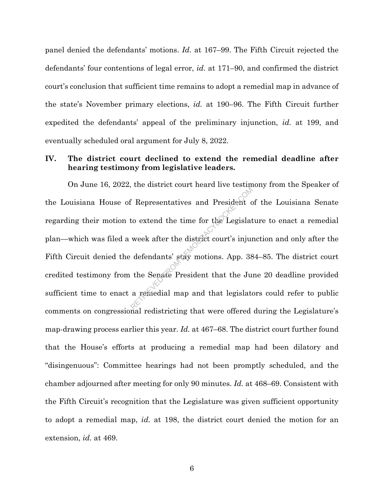panel denied the defendants' motions. *Id.* at 167–99. The Fifth Circuit rejected the defendants' four contentions of legal error, *id.* at 171–90, and confirmed the district court's conclusion that sufficient time remains to adopt a remedial map in advance of the state's November primary elections, *id.* at 190–96. The Fifth Circuit further expedited the defendants' appeal of the preliminary injunction, *id.* at 199, and eventually scheduled oral argument for July 8, 2022.

## **IV. The district court declined to extend the remedial deadline after hearing testimony from legislative leaders.**

On June 16, 2022, the district court heard live testimony from the Speaker of the Louisiana House of Representatives and President of the Louisiana Senate regarding their motion to extend the time for the Legislature to enact a remedial plan—which was filed a week after the district court's injunction and only after the Fifth Circuit denied the defendants' stay motions. App. 384–85. The district court credited testimony from the Senate President that the June 20 deadline provided sufficient time to enact a remedial map and that legislators could refer to public comments on congressional redistricting that were offered during the Legislature's map-drawing process earlier this year. *Id.* at 467–68. The district court further found that the House's efforts at producing a remedial map had been dilatory and "disingenuous": Committee hearings had not been promptly scheduled, and the chamber adjourned after meeting for only 90 minutes. *Id.* at 468–69. Consistent with the Fifth Circuit's recognition that the Legislature was given sufficient opportunity to adopt a remedial map, *id.* at 198, the district court denied the motion for an extension, *id.* at 469. Representatives and President c<br>to extend the time for the Legislat<br>week after the district court's injure<br>defendants' stay motions. App. 38<br>the Senate President that the Ju<br>a remedial map and that legislate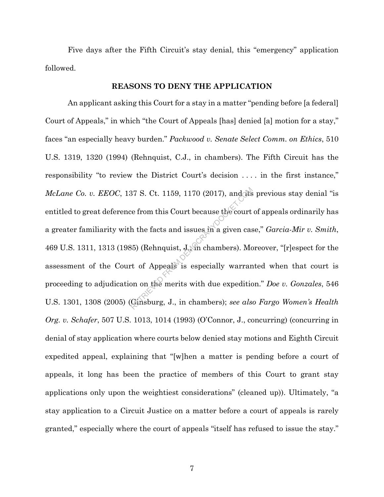Five days after the Fifth Circuit's stay denial, this "emergency" application followed.

#### **REASONS TO DENY THE APPLICATION**

An applicant asking this Court for a stay in a matter "pending before [a federal] Court of Appeals," in which "the Court of Appeals [has] denied [a] motion for a stay," faces "an especially heavy burden." *Packwood v. Senate Select Comm. on Ethics*, 510 U.S. 1319, 1320 (1994) (Rehnquist, C.J., in chambers). The Fifth Circuit has the responsibility "to review the District Court's decision . . . . in the first instance," *McLane Co. v. EEOC, 137 S. Ct. 1159, 1170 (2017), and its previous stay denial "is* entitled to great deference from this Court because the court of appeals ordinarily has a greater familiarity with the facts and issues in a given case," *Garcia-Mir v. Smith*, 469 U.S. 1311, 1313 (1985) (Rehnquist, J., in chambers). Moreover, "[r]espect for the assessment of the Court of Appeals is especially warranted when that court is proceeding to adjudication on the merits with due expedition." *Doe v. Gonzales*, 546 U.S. 1301, 1308 (2005) (Ginsburg, J., in chambers); *see also Fargo Women's Health Org. v. Schafer*, 507 U.S. 1013, 1014 (1993) (O'Connor, J., concurring) (concurring in denial of stay application where courts below denied stay motions and Eighth Circuit expedited appeal, explaining that "[w]hen a matter is pending before a court of appeals, it long has been the practice of members of this Court to grant stay applications only upon the weightiest considerations" (cleaned up)). Ultimately, "a stay application to a Circuit Justice on a matter before a court of appeals is rarely granted," especially where the court of appeals "itself has refused to issue the stay." Branch S. Ct. 1159, 1170 (2017), and the<br>
ee from this Court because the court<br>
h the facts and issues in a given cas<br>
B5) (Rehnquist, J, in chambers). Mc<br>
t of Appeals is especially warran<br>
on on the merits with due expe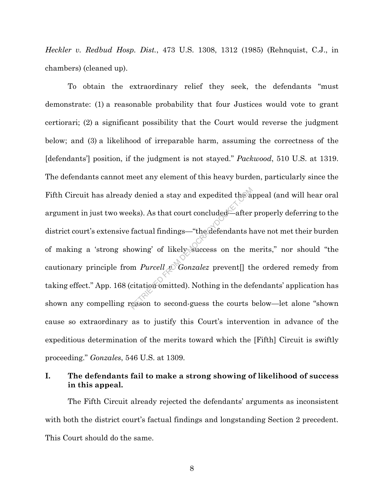*Heckler v. Redbud Hosp. Dist.*, 473 U.S. 1308, 1312 (1985) (Rehnquist, C.J., in chambers) (cleaned up).

To obtain the extraordinary relief they seek, the defendants "must demonstrate: (1) a reasonable probability that four Justices would vote to grant certiorari; (2) a significant possibility that the Court would reverse the judgment below; and (3) a likelihood of irreparable harm, assuming the correctness of the [defendants'] position, if the judgment is not stayed." *Packwood*, 510 U.S. at 1319. The defendants cannot meet any element of this heavy burden, particularly since the Fifth Circuit has already denied a stay and expedited the appeal (and will hear oral argument in just two weeks). As that court concluded—after properly deferring to the district court's extensive factual findings—"the defendants have not met their burden of making a 'strong showing' of likely success on the merits," nor should "the cautionary principle from *Purcell v. Gonzalez* prevent[] the ordered remedy from taking effect." App. 168 (citation omitted). Nothing in the defendants' application has shown any compelling reason to second-guess the courts below—let alone "shown cause so extraordinary as to justify this Court's intervention in advance of the expeditious determination of the merits toward which the [Fifth] Circuit is swiftly proceeding." *Gonzales*, 546 U.S. at 1309. Probability and expedited the article of the sets.<br>
Returnal findings—"the defendants howing" of likely success on the nomen Purcell  $\mathcal{D}$  Gonzalez prevent [] the defendants on the non-purcell  $\mathcal{D}$  Gonzalez prevent

## **I. The defendants fail to make a strong showing of likelihood of success in this appeal.**

The Fifth Circuit already rejected the defendants' arguments as inconsistent with both the district court's factual findings and longstanding Section 2 precedent. This Court should do the same.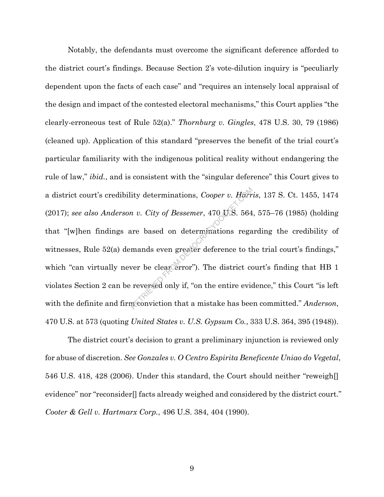Notably, the defendants must overcome the significant deference afforded to the district court's findings. Because Section 2's vote-dilution inquiry is "peculiarly dependent upon the facts of each case" and "requires an intensely local appraisal of the design and impact of the contested electoral mechanisms," this Court applies "the clearly-erroneous test of Rule 52(a)." *Thornburg v. Gingles*, 478 U.S. 30, 79 (1986) (cleaned up). Application of this standard "preserves the benefit of the trial court's particular familiarity with the indigenous political reality without endangering the rule of law," *ibid.*, and is consistent with the "singular deference" this Court gives to a district court's credibility determinations, *Cooper v. Harris*, 137 S. Ct. 1455, 1474 (2017); *see also Anderson v. City of Bessemer*, 470 U.S. 564, 575–76 (1985) (holding that "[w]hen findings are based on determinations regarding the credibility of witnesses, Rule 52(a) demands even greater deference to the trial court's findings," which "can virtually never be clear error"). The district court's finding that HB 1 violates Section 2 can be reversed only if, "on the entire evidence," this Court "is left with the definite and firm conviction that a mistake has been committed." *Anderson*, 470 U.S. at 573 (quoting *United States v. U.S. Gypsum Co.*, 333 U.S. 364, 395 (1948)). ity determinations, Cooper v. Harr<br>
n v. City of Bessemer, 470 U.S. 564<br>
are based on determinations rega<br>
mands even greater deference to th<br>
ver be clear error"). The district conversed only if, "on the entire evidence"

The district court's decision to grant a preliminary injunction is reviewed only for abuse of discretion. *See Gonzales v. O Centro Espirita Beneficente Uniao do Vegetal*, 546 U.S. 418, 428 (2006). Under this standard, the Court should neither "reweigh[] evidence" nor "reconsider<sup>[]</sup> facts already weighed and considered by the district court." *Cooter & Gell v. Hartmarx Corp.*, 496 U.S. 384, 404 (1990).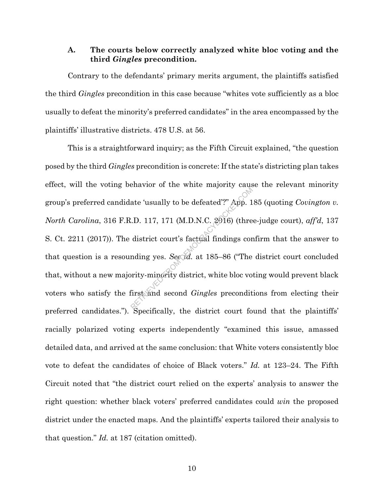### **A. The courts below correctly analyzed white bloc voting and the third** *Gingles* **precondition.**

Contrary to the defendants' primary merits argument, the plaintiffs satisfied the third *Gingles* precondition in this case because "whites vote sufficiently as a bloc usually to defeat the minority's preferred candidates" in the area encompassed by the plaintiffs' illustrative districts. 478 U.S. at 56.

This is a straightforward inquiry; as the Fifth Circuit explained, "the question posed by the third *Gingles* precondition is concrete: If the state's districting plan takes effect, will the voting behavior of the white majority cause the relevant minority group's preferred candidate 'usually to be defeated'?" App. 185 (quoting *Covington v. North Carolina*, 316 F.R.D. 117, 171 (M.D.N.C. 2016) (three-judge court), *aff'd*, 137 S. Ct. 2211 (2017)). The district court's factual findings confirm that the answer to that question is a resounding yes. *See id.* at 185–86 ("The district court concluded that, without a new majority-minority district, white bloc voting would prevent black voters who satisfy the first and second *Gingles* preconditions from electing their preferred candidates."). Specifically, the district court found that the plaintiffs' racially polarized voting experts independently "examined this issue, amassed detailed data, and arrived at the same conclusion: that White voters consistently bloc vote to defeat the candidates of choice of Black voters." *Id.* at 123–24. The Fifth Circuit noted that "the district court relied on the experts' analysis to answer the right question: whether black voters' preferred candidates could *win* the proposed district under the enacted maps. And the plaintiffs' experts tailored their analysis to that question." *Id.* at 187 (citation omitted). ate 'usually to be defeated'?" App. 1<br>
.D. 117, 171 (M.D.N.C. 2916) (thre<br>
district court's factual findings cor<br>
mding yes. See 7d. at 185–86 ("The<br>
prity-minority district, white bloc vo<br>
first and second *Gingles* preco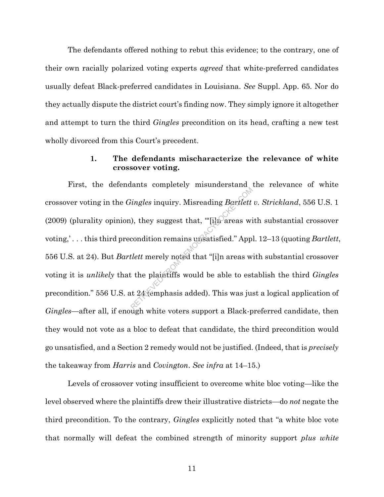The defendants offered nothing to rebut this evidence; to the contrary, one of their own racially polarized voting experts *agreed* that white-preferred candidates usually defeat Black-preferred candidates in Louisiana. *See* Suppl. App. 65. Nor do they actually dispute the district court's finding now. They simply ignore it altogether and attempt to turn the third *Gingles* precondition on its head, crafting a new test wholly divorced from this Court's precedent.

## **1. The defendants mischaracterize the relevance of white crossover voting.**

First, the defendants completely misunderstand the relevance of white crossover voting in the *Gingles* inquiry. Misreading *Bartlett v. Strickland*, 556 U.S. 1 (2009) (plurality opinion), they suggest that, " $[i]$ <sub>1</sub>) areas with substantial crossover voting,' . . . this third precondition remains unsatisfied." Appl. 12–13 (quoting *Bartlett*, 556 U.S. at 24). But *Bartlett* merely noted that "[i]n areas with substantial crossover voting it is *unlikely* that the plaintiffs would be able to establish the third *Gingles* precondition." 556 U.S. at 24 (emphasis added). This was just a logical application of *Gingles*—after all, if enough white voters support a Black-preferred candidate, then they would not vote as a bloc to defeat that candidate, the third precondition would go unsatisfied, and a Section 2 remedy would not be justified. (Indeed, that is *precisely* the takeaway from *Harris* and *Covington*. *See infra* at 14–15.) From J. Misreading Bartlett<br>
(b), they suggest that, "[i] areas wise condition remains unsatisfied." App<br>
tlett merely noted that "[i] n areas wise the plaintiffs would be able to est<br>
the plaintiffs would be able to est<br>

Levels of crossover voting insufficient to overcome white bloc voting—like the level observed where the plaintiffs drew their illustrative districts—do *not* negate the third precondition. To the contrary, *Gingles* explicitly noted that "a white bloc vote that normally will defeat the combined strength of minority support *plus white*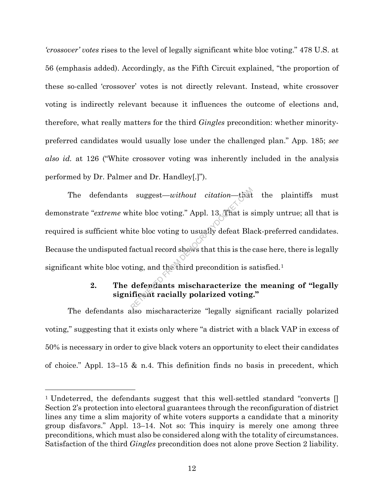*'crossover' votes* rises to the level of legally significant white bloc voting." 478 U.S. at 56 (emphasis added). Accordingly, as the Fifth Circuit explained, "the proportion of these so-called 'crossover' votes is not directly relevant. Instead, white crossover voting is indirectly relevant because it influences the outcome of elections and, therefore, what really matters for the third *Gingles* precondition: whether minoritypreferred candidates would usually lose under the challenged plan." App. 185; *see also id.* at 126 ("White crossover voting was inherently included in the analysis performed by Dr. Palmer and Dr. Handley[.]").

The defendants suggest—*without citation*—that the plaintiffs must demonstrate "*extreme* white bloc voting." Appl. 13. That is simply untrue; all that is required is sufficient white bloc voting to usually defeat Black-preferred candidates. Because the undisputed factual record shows that this is the case here, there is legally significant white bloc voting, and the third precondition is satisfied.1 suggest—*without citation*—that<br>hite bloc voting." Appl. 13. That is s<br>ite bloc voting to usually defeat Bla<br>factual record shews that this is the<br>ting, and the third precondition is s<br>**defendants mischaracterize th**<br>**ific** 

# **2. The defendants mischaracterize the meaning of "legally significant racially polarized voting."**

The defendants also mischaracterize "legally significant racially polarized voting," suggesting that it exists only where "a district with a black VAP in excess of 50% is necessary in order to give black voters an opportunity to elect their candidates of choice." Appl. 13–15 & n.4. This definition finds no basis in precedent, which

<sup>&</sup>lt;sup>1</sup> Undeterred, the defendants suggest that this well-settled standard "converts [] Section 2's protection into electoral guarantees through the reconfiguration of district lines any time a slim majority of white voters supports a candidate that a minority group disfavors." Appl. 13–14. Not so: This inquiry is merely one among three preconditions, which must also be considered along with the totality of circumstances. Satisfaction of the third *Gingles* precondition does not alone prove Section 2 liability.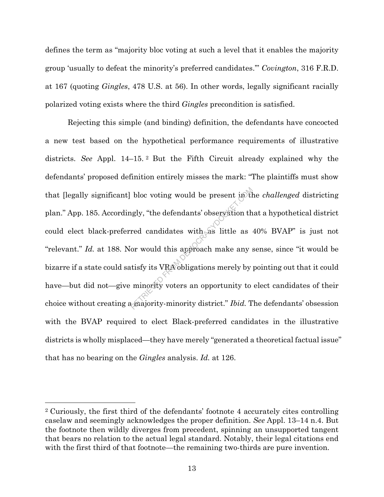defines the term as "majority bloc voting at such a level that it enables the majority group 'usually to defeat the minority's preferred candidates.'" *Covington*, 316 F.R.D. at 167 (quoting *Gingles*, 478 U.S. at 56). In other words, legally significant racially polarized voting exists where the third *Gingles* precondition is satisfied.

Rejecting this simple (and binding) definition, the defendants have concocted a new test based on the hypothetical performance requirements of illustrative districts. *See* Appl. 14–15. <sup>2</sup> But the Fifth Circuit already explained why the defendants' proposed definition entirely misses the mark: "The plaintiffs must show that [legally significant] bloc voting would be present in the *challenged* districting plan." App. 185. Accordingly, "the defendants' observation that a hypothetical district could elect black-preferred candidates with as little as 40% BVAP" is just not "relevant." *Id.* at 188. Nor would this approach make any sense, since "it would be bizarre if a state could satisfy its VRA obligations merely by pointing out that it could have—but did not—give minority voters an opportunity to elect candidates of their choice without creating a majority-minority district." *Ibid.* The defendants' obsession with the BVAP required to elect Black-preferred candidates in the illustrative districts is wholly misplaced—they have merely "generated a theoretical factual issue" that has no bearing on the *Gingles* analysis. *Id.* at 126. bloc voting would be present in the<br>ngly, "the defendants' observation thered candidates with as little as<br>or would this approach make any s<br>tisfy its VRA obligations merely by<br>minority voters an opportunity to

<sup>2</sup> Curiously, the first third of the defendants' footnote 4 accurately cites controlling caselaw and seemingly acknowledges the proper definition. *See* Appl. 13–14 n.4. But the footnote then wildly diverges from precedent, spinning an unsupported tangent that bears no relation to the actual legal standard. Notably, their legal citations end with the first third of that footnote—the remaining two-thirds are pure invention.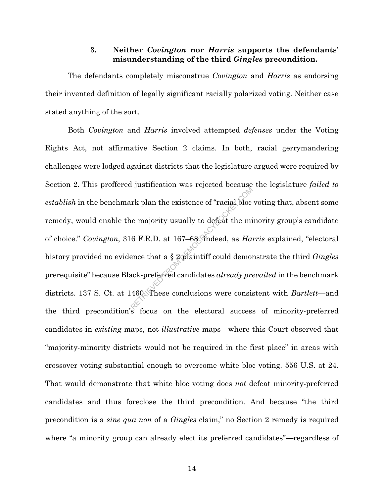### **3. Neither** *Covington* **nor** *Harris* **supports the defendants' misunderstanding of the third** *Gingles* **precondition.**

The defendants completely misconstrue *Covington* and *Harris* as endorsing their invented definition of legally significant racially polarized voting. Neither case stated anything of the sort.

Both *Covington* and *Harris* involved attempted *defenses* under the Voting Rights Act, not affirmative Section 2 claims. In both, racial gerrymandering challenges were lodged against districts that the legislature argued were required by Section 2. This proffered justification was rejected because the legislature *failed to establish* in the benchmark plan the existence of "racial bloc voting that, absent some remedy, would enable the majority usually to defeat the minority group's candidate of choice." *Covington*, 316 F.R.D. at 167–68. Indeed, as *Harris* explained, "electoral history provided no evidence that a § 2 plaintiff could demonstrate the third *Gingles* prerequisite" because Black-preferred candidates *already prevailed* in the benchmark districts. 137 S. Ct. at 1460. These conclusions were consistent with *Bartlett—*and the third precondition's focus on the electoral success of minority-preferred candidates in *existing* maps, not *illustrative* maps*—*where this Court observed that "majority-minority districts would not be required in the first place" in areas with crossover voting substantial enough to overcome white bloc voting. 556 U.S. at 24. That would demonstrate that white bloc voting does *not* defeat minority-preferred candidates and thus foreclose the third precondition. And because "the third precondition is a *sine qua non* of a *Gingles* claim," no Section 2 remedy is required where "a minority group can already elect its preferred candidates"—regardless of FR plan the existence of "racial blocket"<br>
RETRIEVED FROM DEMOCRACY USES TO A 167-68. The deed, as *Ha*:<br>
There that a § 2 plaintiff could democracy presence that a § 2 plaintiff could democracy presence the second condit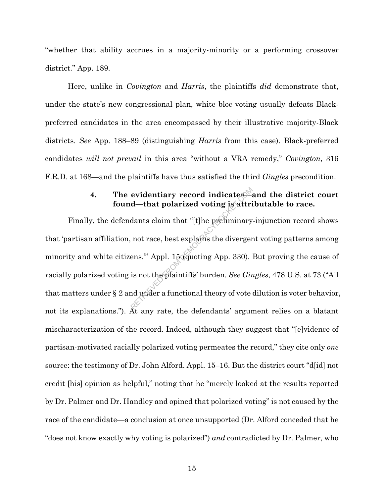"whether that ability accrues in a majority-minority or a performing crossover district." App. 189.

Here, unlike in *Covington* and *Harris*, the plaintiffs *did* demonstrate that, under the state's new congressional plan, white bloc voting usually defeats Blackpreferred candidates in the area encompassed by their illustrative majority-Black districts. *See* App. 188–89 (distinguishing *Harris* from this case). Black-preferred candidates *will not prevail* in this area "without a VRA remedy," *Covington*, 316 F.R.D. at 168—and the plaintiffs have thus satisfied the third *Gingles* precondition.

# **4. The evidentiary record indicates—and the district court found—that polarized voting is attributable to race.**

Finally, the defendants claim that "[t]he preliminary-injunction record shows that 'partisan affiliation, not race, best explains the divergent voting patterns among minority and white citizens.'" Appl. 15 (quoting App. 330). But proving the cause of racially polarized voting is not the plaintiffs' burden. *See Gingles*, 478 U.S. at 73 ("All that matters under § 2 and under a functional theory of vote dilution is voter behavior, not its explanations."). At any rate, the defendants' argument relies on a blatant mischaracterization of the record. Indeed, although they suggest that "[e]vidence of partisan-motivated racially polarized voting permeates the record," they cite only *one* source: the testimony of Dr. John Alford. Appl. 15–16. But the district court "d[id] not credit [his] opinion as helpful," noting that he "merely looked at the results reported by Dr. Palmer and Dr. Handley and opined that polarized voting" is not caused by the race of the candidate—a conclusion at once unsupported (Dr. Alford conceded that he "does not know exactly why voting is polarized") *and* contradicted by Dr. Palmer, who evidentiary record indicates<br>d—that polarized voting is attri<br>dants claim that "[t]he preliminary<br>not race, best explains the diverger<br>ens." Appl. 15 (quoting App. 330).<br>is not the plaintiffs' burden. *See Gin*<br>nd under a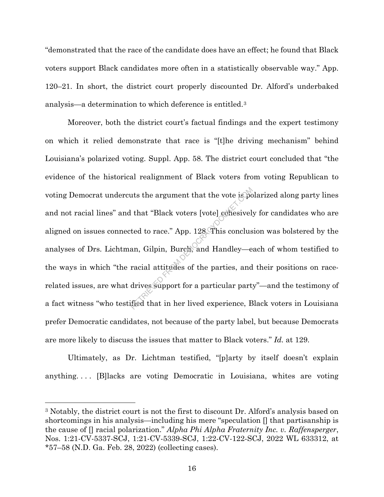"demonstrated that the race of the candidate does have an effect; he found that Black voters support Black candidates more often in a statistically observable way." App. 120–21. In short, the district court properly discounted Dr. Alford's underbaked analysis—a determination to which deference is entitled.3

Moreover, both the district court's factual findings and the expert testimony on which it relied demonstrate that race is "[t]he driving mechanism" behind Louisiana's polarized voting. Suppl. App. 58. The district court concluded that "the evidence of the historical realignment of Black voters from voting Republican to voting Democrat undercuts the argument that the vote is polarized along party lines and not racial lines" and that "Black voters [vote] cohesively for candidates who are aligned on issues connected to race." App. 128. This conclusion was bolstered by the analyses of Drs. Lichtman, Gilpin, Burch, and Handley—each of whom testified to the ways in which "the racial attitudes of the parties, and their positions on racerelated issues, are what drives support for a particular party"—and the testimony of a fact witness "who testified that in her lived experience, Black voters in Louisiana prefer Democratic candidates, not because of the party label, but because Democrats are more likely to discuss the issues that matter to Black voters." *Id.* at 129. That "Black voters [vote] conesivel.<br>
Let that "Black voters [vote] conesivel.<br>
Let to race." App. 128. This conclus<br>
an, Gilpin, Burch, and Handley—e<br>
racial attitudes of the parties, and<br>
drives support for a particular

Ultimately, as Dr. Lichtman testified, "[p]arty by itself doesn't explain anything. . . . [B]lacks are voting Democratic in Louisiana, whites are voting

<sup>3</sup> Notably, the district court is not the first to discount Dr. Alford's analysis based on shortcomings in his analysis—including his mere "speculation [] that partisanship is the cause of [] racial polarization." *Alpha Phi Alpha Fraternity Inc. v. Raffensperger*, Nos. 1:21-CV-5337-SCJ, 1:21-CV-5339-SCJ, 1:22-CV-122-SCJ, 2022 WL 633312, at \*57–58 (N.D. Ga. Feb. 28, 2022) (collecting cases).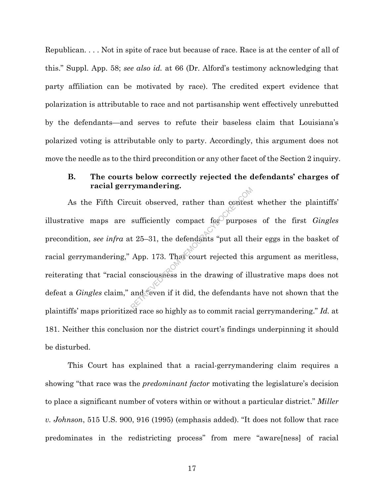Republican. . . . Not in spite of race but because of race. Race is at the center of all of this." Suppl. App. 58; *see also id.* at 66 (Dr. Alford's testimony acknowledging that party affiliation can be motivated by race). The credited expert evidence that polarization is attributable to race and not partisanship went effectively unrebutted by the defendants—and serves to refute their baseless claim that Louisiana's polarized voting is attributable only to party. Accordingly, this argument does not move the needle as to the third precondition or any other facet of the Section 2 inquiry.

## **B. The courts below correctly rejected the defendants' charges of racial gerrymandering.**

As the Fifth Circuit observed, rather than contest whether the plaintiffs' illustrative maps are sufficiently compact for purposes of the first *Gingles* precondition, *see infra* at 25–31, the defendants "put all their eggs in the basket of racial gerrymandering," App. 173. That court rejected this argument as meritless, reiterating that "racial consciousness in the drawing of illustrative maps does not defeat a *Gingles* claim," and "even if it did, the defendants have not shown that the plaintiffs' maps prioritized race so highly as to commit racial gerrymandering." *Id.* at 181. Neither this conclusion nor the district court's findings underpinning it should be disturbed. Fuit observed, rather than contest<br>sufficiently compact for purpose<br>t 25–31, the defendants "put all the<br>App. 173. That court rejected this<br>consciousness in the drawing of ill<br>and (even if it did, the defendants

This Court has explained that a racial-gerrymandering claim requires a showing "that race was the *predominant factor* motivating the legislature's decision to place a significant number of voters within or without a particular district." *Miller v. Johnson*, 515 U.S. 900, 916 (1995) (emphasis added). "It does not follow that race predominates in the redistricting process" from mere "aware[ness] of racial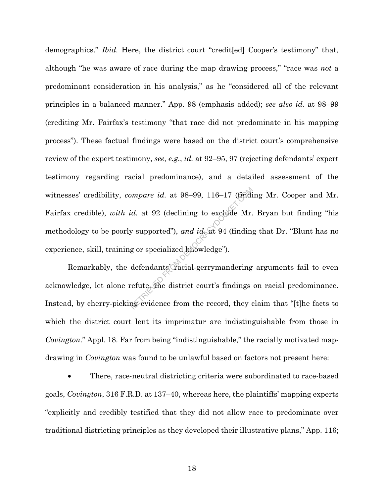demographics." *Ibid.* Here, the district court "credit[ed] Cooper's testimony" that, although "he was aware of race during the map drawing process," "race was *not* a predominant consideration in his analysis," as he "considered all of the relevant principles in a balanced manner." App. 98 (emphasis added); *see also id.* at 98–99 (crediting Mr. Fairfax's testimony "that race did not predominate in his mapping process"). These factual findings were based on the district court's comprehensive review of the expert testimony, *see, e.g.*, *id.* at 92–95, 97 (rejecting defendants' expert testimony regarding racial predominance), and a detailed assessment of the witnesses' credibility, *compare id.* at 98–99, 116–17 (finding Mr. Cooper and Mr. Fairfax credible), *with id.* at 92 (declining to exclude Mr. Bryan but finding "his methodology to be poorly supported"), *and id.* at 94 (finding that Dr. "Blunt has no experience, skill, training or specialized knowledge"). mpare id. at 98–99, 116–17 (finding id. at 92 (declining to exclude Mr.<br>
y supported"), and id. at 94 (finding<br>
g or specialized knowledge").<br>
defendants Cracial-gerrymandering<br>
refute, the district court's findings<br>
as ev

Remarkably, the defendants' racial-gerrymandering arguments fail to even acknowledge, let alone refute, the district court's findings on racial predominance. Instead, by cherry-picking evidence from the record, they claim that "[t]he facts to which the district court lent its imprimatur are indistinguishable from those in *Covington*." Appl. 18. Far from being "indistinguishable," the racially motivated mapdrawing in *Covington* was found to be unlawful based on factors not present here:

• There, race-neutral districting criteria were subordinated to race-based goals, *Covington*, 316 F.R.D. at 137–40, whereas here, the plaintiffs' mapping experts "explicitly and credibly testified that they did not allow race to predominate over traditional districting principles as they developed their illustrative plans," App. 116;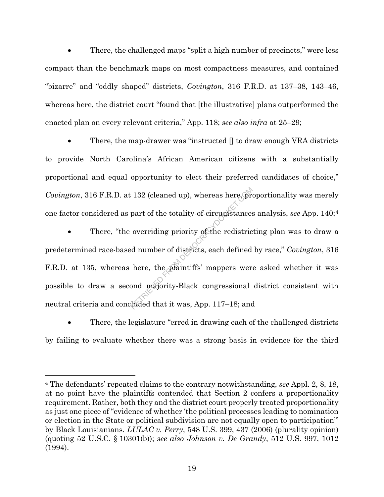• There, the challenged maps "split a high number of precincts," were less compact than the benchmark maps on most compactness measures, and contained "bizarre" and "oddly shaped" districts, *Covington*, 316 F.R.D. at 137–38, 143–46, whereas here, the district court "found that [the illustrative] plans outperformed the enacted plan on every relevant criteria," App. 118; *see also infra* at 25–29;

There, the map-drawer was "instructed  $\parallel$  to draw enough VRA districts to provide North Carolina's African American citizens with a substantially proportional and equal opportunity to elect their preferred candidates of choice," *Covington*, 316 F.R.D. at 132 (cleaned up), whereas here, proportionality was merely one factor considered as part of the totality-of-circumstances analysis, *see* App. 140;4

There, "the overriding priority of the redistricting plan was to draw a predetermined race-based number of districts, each defined by race," *Covington*, 316 F.R.D. at 135, whereas here, the plaintiffs' mappers were asked whether it was possible to draw a second majority-Black congressional district consistent with neutral criteria and concluded that it was, App. 117–18; and  $132$  (cleaned up), whereas here, propert of the totality-of-circumstances<br>overriding priority of the redistric<br>d number of districts, each defined<br>here, the plaintiffs' mappers wer<br>ond majority-Black congressional<br>hided

• There, the legislature "erred in drawing each of the challenged districts by failing to evaluate whether there was a strong basis in evidence for the third

<sup>4</sup> The defendants' repeated claims to the contrary notwithstanding, *see* Appl. 2, 8, 18, at no point have the plaintiffs contended that Section 2 confers a proportionality requirement. Rather, both they and the district court properly treated proportionality as just one piece of "evidence of whether 'the political processes leading to nomination or election in the State or political subdivision are not equally open to participation'" by Black Louisianians. *LULAC v. Perry*, 548 U.S. 399, 437 (2006) (plurality opinion) (quoting 52 U.S.C. § 10301(b)); *see also Johnson v. De Grandy*, 512 U.S. 997, 1012 (1994).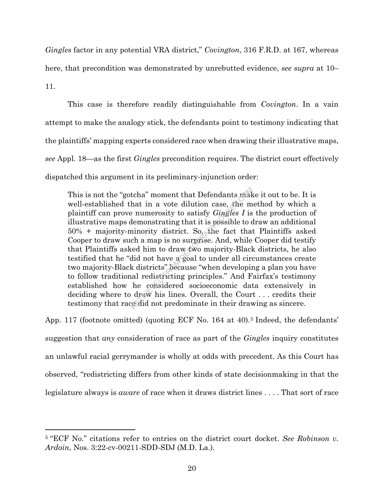*Gingles* factor in any potential VRA district," *Covington*, 316 F.R.D. at 167, whereas here, that precondition was demonstrated by unrebutted evidence, *see supra* at 10–

11.

This case is therefore readily distinguishable from *Covington*. In a vain attempt to make the analogy stick, the defendants point to testimony indicating that the plaintiffs' mapping experts considered race when drawing their illustrative maps, *see* Appl. 18—as the first *Gingles* precondition requires. The district court effectively dispatched this argument in its preliminary-injunction order:

This is not the "gotcha" moment that Defendants make it out to be. It is well-established that in a vote dilution case, the method by which a plaintiff can prove numerosity to satisfy *Gingles I* is the production of illustrative maps demonstrating that it is possible to draw an additional 50% + majority-minority district. So, the fact that Plaintiffs asked Cooper to draw such a map is no surprise. And, while Cooper did testify that Plaintiffs asked him to draw two majority-Black districts, he also testified that he "did not have a goal to under all circumstances create two majority-Black districts" because "when developing a plan you have to follow traditional redistricting principles." And Fairfax's testimony established how he considered socioeconomic data extensively in deciding where to draw his lines. Overall, the Court . . . credits their testimony that race did not predominate in their drawing as sincere. tcha" moment that Defendants maked hat in a vote dilution case, the m<br>e numerosity to satisfy *Gingles I* is<br>demonstrating that it is possible to do<br>minority district. So, the fact that<br>ch a map is no surprise. And, while<br>

App. 117 (footnote omitted) (quoting ECF No. 164 at 40).<sup>5</sup> Indeed, the defendants' suggestion that *any* consideration of race as part of the *Gingles* inquiry constitutes an unlawful racial gerrymander is wholly at odds with precedent. As this Court has observed, "redistricting differs from other kinds of state decisionmaking in that the legislature always is *aware* of race when it draws district lines . . . . That sort of race

<sup>5</sup> "ECF No." citations refer to entries on the district court docket. *See Robinson v. Ardoin*, Nos. 3:22-cv-00211-SDD-SDJ (M.D. La.).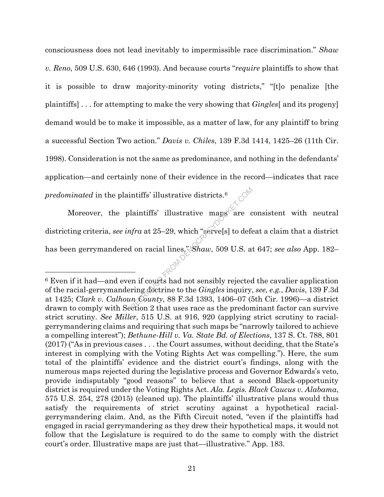consciousness does not lead inevitably to impermissible race discrimination." *Shaw v. Reno*, 509 U.S. 630, 646 (1993). And because courts "*require* plaintiffs to show that it is possible to draw majority-minority voting districts," "[t]o penalize [the plaintiffs] . . . for attempting to make the very showing that *Gingles*[ and its progeny] demand would be to make it impossible, as a matter of law, for any plaintiff to bring a successful Section Two action." *Davis v. Chiles*, 139 F.3d 1414, 1425–26 (11th Cir. 1998). Consideration is not the same as predominance, and nothing in the defendants' application—and certainly none of their evidence in the record—indicates that race *predominated* in the plaintiffs' illustrative districts.<sup>6</sup>

Moreover, the plaintiffs' illustrative maps are consistent with neutral districting criteria, *see infra* at 25–29, which "serve[s] to defeat a claim that a district has been gerrymandered on racial lines," *Shaw*, 509 U.S. at 647; *see also* App. 182– ntiffs' illustrative districts.<sup>6</sup><br>
laintiffs' illustrative maps are contrary<br>
of the maps are contrary strategy which "serve[s] to deference in an if courts had not sensibly rejected<br>
ring dectrine to the *Gingles* inqui

<sup>6</sup> Even if it had—and even if courts had not sensibly rejected the cavalier application of the racial-gerrymandering doctrine to the *Gingles* inquiry, *see, e.g.*, *Davis*, 139 F.3d at 1425; *Clark v. Calhoun County*, 88 F.3d 1393, 1406–07 (5th Cir. 1996)—a district drawn to comply with Section 2 that uses race as the predominant factor can survive strict scrutiny. *See Miller*, 515 U.S. at 916, 920 (applying strict scrutiny to racialgerrymandering claims and requiring that such maps be "narrowly tailored to achieve a compelling interest"); *Bethune-Hill v. Va. State Bd. of Elections*, 137 S. Ct. 788, 801 (2017) ("As in previous cases . . . the Court assumes, without deciding, that the State's interest in complying with the Voting Rights Act was compelling."). Here, the sum total of the plaintiffs' evidence and the district court's findings, along with the numerous maps rejected during the legislative process and Governor Edwards's veto, provide indisputably "good reasons" to believe that a second Black-opportunity district is required under the Voting Rights Act. *Ala. Legis. Black Caucus v. Alabama*, 575 U.S. 254, 278 (2015) (cleaned up). The plaintiffs' illustrative plans would thus satisfy the requirements of strict scrutiny against a hypothetical racialgerrymandering claim. And, as the Fifth Circuit noted, "even if the plaintiffs had engaged in racial gerrymandering as they drew their hypothetical maps, it would not follow that the Legislature is required to do the same to comply with the district court's order. Illustrative maps are just that—illustrative." App. 183.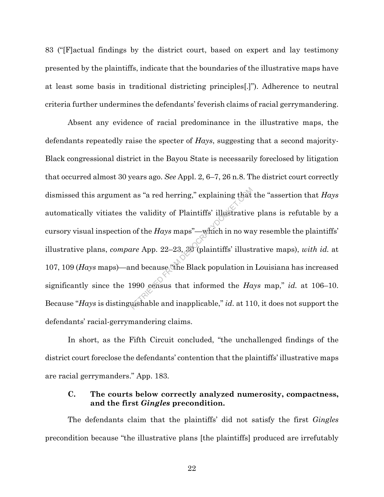83 ("[F]actual findings by the district court, based on expert and lay testimony presented by the plaintiffs, indicate that the boundaries of the illustrative maps have at least some basis in traditional districting principles[.]"). Adherence to neutral criteria further undermines the defendants' feverish claims of racial gerrymandering.

Absent any evidence of racial predominance in the illustrative maps, the defendants repeatedly raise the specter of *Hays*, suggesting that a second majority-Black congressional district in the Bayou State is necessarily foreclosed by litigation that occurred almost 30 years ago. *See* Appl. 2, 6–7, 26 n.8. The district court correctly dismissed this argument as "a red herring," explaining that the "assertion that *Hays* automatically vitiates the validity of Plaintiffs' illustrative plans is refutable by a cursory visual inspection of the *Hays* maps"—which in no way resemble the plaintiffs' illustrative plans, *compare* App. 22–23, 30 (plaintiffs' illustrative maps), *with id.* at 107, 109 (*Hays* maps)—and because "the Black population in Louisiana has increased significantly since the 1990 census that informed the *Hays* map," *id.* at 106–10. Because "*Hays* is distinguishable and inapplicable," *id*. at 110, it does not support the defendants' racial-gerrymandering claims. Ref. as "a red herring," explaining that<br>
ne validity of Plaintiffs' illustrative<br>
of the *Hays* maps"—which in no wa<br>
ure App. 22–23, 30 (plaintiffs' illust<br>
nd because The Black population in<br>
1990 census that informed

In short, as the Fifth Circuit concluded, "the unchallenged findings of the district court foreclose the defendants' contention that the plaintiffs' illustrative maps are racial gerrymanders." App. 183.

## **C. The courts below correctly analyzed numerosity, compactness, and the first** *Gingles* **precondition.**

The defendants claim that the plaintiffs' did not satisfy the first *Gingles* precondition because "the illustrative plans [the plaintiffs] produced are irrefutably

22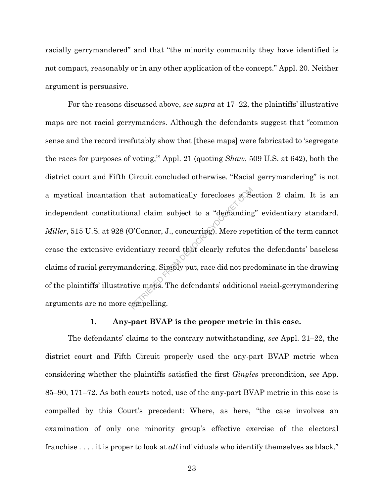racially gerrymandered" and that "the minority community they have identified is not compact, reasonably or in any other application of the concept." Appl. 20. Neither argument is persuasive.

For the reasons discussed above, *see supra* at 17–22, the plaintiffs' illustrative maps are not racial gerrymanders. Although the defendants suggest that "common sense and the record irrefutably show that [these maps] were fabricated to 'segregate the races for purposes of voting,'" Appl. 21 (quoting *Shaw*, 509 U.S. at 642), both the district court and Fifth Circuit concluded otherwise. "Racial gerrymandering" is not a mystical incantation that automatically forecloses a Section 2 claim. It is an independent constitutional claim subject to a "demanding" evidentiary standard. *Miller*, 515 U.S. at 928 (O'Connor, J., concurring). Mere repetition of the term cannot erase the extensive evidentiary record that clearly refutes the defendants' baseless claims of racial gerrymandering. Simply put, race did not predominate in the drawing of the plaintiffs' illustrative maps. The defendants' additional racial-gerrymandering arguments are no more compelling. that automatically forecloses a<br>Second claim subject to a "demanding"<br>D'Connor, J., concurring). Mere repe<br>entiary record that clearly refutes<br>idering. Simply put, race did not pre<br>ive maps. The defendants' additions

#### **1. Any-part BVAP is the proper metric in this case.**

The defendants' claims to the contrary notwithstanding, *see* Appl. 21–22, the district court and Fifth Circuit properly used the any-part BVAP metric when considering whether the plaintiffs satisfied the first *Gingles* precondition, *see* App. 85–90, 171–72. As both courts noted, use of the any-part BVAP metric in this case is compelled by this Court's precedent: Where, as here, "the case involves an examination of only one minority group's effective exercise of the electoral franchise . . . . it is proper to look at *all* individuals who identify themselves as black."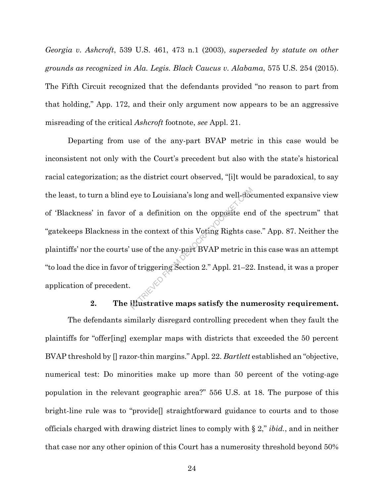*Georgia v. Ashcroft*, 539 U.S. 461, 473 n.1 (2003), *superseded by statute on other grounds as recognized in Ala. Legis. Black Caucus v. Alabama*, 575 U.S. 254 (2015). The Fifth Circuit recognized that the defendants provided "no reason to part from that holding," App. 172, and their only argument now appears to be an aggressive misreading of the critical *Ashcroft* footnote, *see* Appl. 21.

Departing from use of the any-part BVAP metric in this case would be inconsistent not only with the Court's precedent but also with the state's historical racial categorization; as the district court observed, "[i]t would be paradoxical, to say the least, to turn a blind eye to Louisiana's long and well-documented expansive view of 'Blackness' in favor of a definition on the opposite end of the spectrum" that "gatekeeps Blackness in the context of this Voting Rights case." App. 87. Neither the plaintiffs' nor the courts' use of the any-part BVAP metric in this case was an attempt "to load the dice in favor of triggering Section 2." Appl. 21–22. Instead, it was a proper application of precedent. eye to Louisiana's long and well-doce<br>of a definition on the opposite end<br>the context of this Voting Rights ca<br>use of the any-part BVAP metric in<br>of triggering Section 2." Appl. 21–22<br>illustrative maps satisfy the num

#### **2. The illustrative maps satisfy the numerosity requirement.**

The defendants similarly disregard controlling precedent when they fault the plaintiffs for "offer[ing] exemplar maps with districts that exceeded the 50 percent BVAP threshold by [] razor-thin margins." Appl. 22. *Bartlett* established an "objective, numerical test: Do minorities make up more than 50 percent of the voting-age population in the relevant geographic area?" 556 U.S. at 18. The purpose of this bright-line rule was to "provide[] straightforward guidance to courts and to those officials charged with drawing district lines to comply with § 2," *ibid.*, and in neither that case nor any other opinion of this Court has a numerosity threshold beyond 50%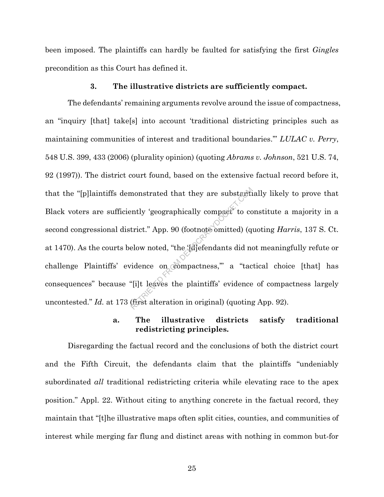been imposed. The plaintiffs can hardly be faulted for satisfying the first *Gingles* precondition as this Court has defined it.

#### **3. The illustrative districts are sufficiently compact.**

The defendants' remaining arguments revolve around the issue of compactness, an "inquiry [that] take[s] into account 'traditional districting principles such as maintaining communities of interest and traditional boundaries.'" *LULAC v. Perry*, 548 U.S. 399, 433 (2006) (plurality opinion) (quoting *Abrams v. Johnson*, 521 U.S. 74, 92 (1997)). The district court found, based on the extensive factual record before it, that the "[p]laintiffs demonstrated that they are substantially likely to prove that Black voters are sufficiently 'geographically compact' to constitute a majority in a second congressional district." App. 90 (footnote omitted) (quoting *Harris*, 137 S. Ct. at 1470). As the courts below noted, "the '[d]efendants did not meaningfully refute or challenge Plaintiffs' evidence on compactness,'" a "tactical choice [that] has consequences" because "[i]t leaves the plaintiffs' evidence of compactness largely uncontested." *Id.* at 173 (first alteration in original) (quoting App. 92). monstrated that they are substantiently 'geographically compact to contributed.<br>
First area from the (differentiants did not related) (quadrum order).<br>
The compactness, a "tacket"<br>
if the same on compactness, a "tacket" (f

### **a. The illustrative districts satisfy traditional redistricting principles.**

Disregarding the factual record and the conclusions of both the district court and the Fifth Circuit, the defendants claim that the plaintiffs "undeniably subordinated *all* traditional redistricting criteria while elevating race to the apex position." Appl. 22. Without citing to anything concrete in the factual record, they maintain that "[t]he illustrative maps often split cities, counties, and communities of interest while merging far flung and distinct areas with nothing in common but-for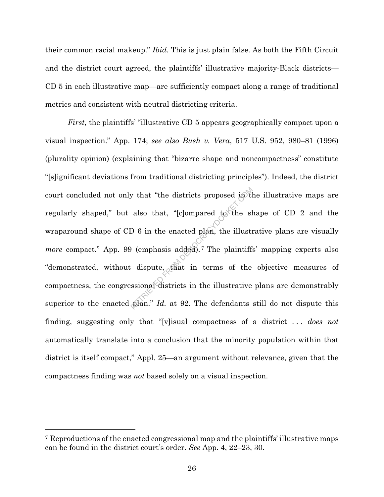their common racial makeup." *Ibid.* This is just plain false. As both the Fifth Circuit and the district court agreed, the plaintiffs' illustrative majority-Black districts— CD 5 in each illustrative map—are sufficiently compact along a range of traditional metrics and consistent with neutral districting criteria.

*First*, the plaintiffs' "illustrative CD 5 appears geographically compact upon a visual inspection." App. 174; *see also Bush v. Vera*, 517 U.S. 952, 980–81 (1996) (plurality opinion) (explaining that "bizarre shape and noncompactness" constitute "[s]ignificant deviations from traditional districting principles"). Indeed, the district court concluded not only that "the districts proposed in the illustrative maps are regularly shaped," but also that, "[c]ompared to the shape of CD 2 and the wraparound shape of CD 6 in the enacted plan, the illustrative plans are visually *more* compact." App. 99 (emphasis added).<sup>7</sup> The plaintiffs' mapping experts also "demonstrated, without dispute, that in terms of the objective measures of compactness, the congressional districts in the illustrative plans are demonstrably superior to the enacted plan." *Id.* at 92. The defendants still do not dispute this finding, suggesting only that "[v]isual compactness of a district . . . *does not* automatically translate into a conclusion that the minority population within that district is itself compact," Appl. 25—an argument without relevance, given that the compactness finding was *not* based solely on a visual inspection. by that "the districts proposed in the slag of the slag of the slag of the slag of the enacted plan, the illustration (emphasis added).<sup>7</sup> The plaintiffs dispute, that in terms of the ssional districts in the illustrative

<sup>7</sup> Reproductions of the enacted congressional map and the plaintiffs' illustrative maps can be found in the district court's order. *See* App. 4, 22–23, 30.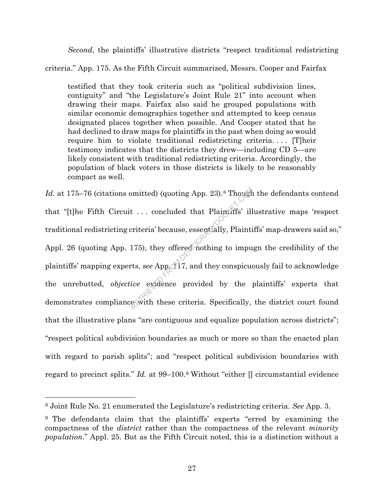*Second*, the plaintiffs' illustrative districts "respect traditional redistricting

criteria." App. 175. As the Fifth Circuit summarized, Messrs. Cooper and Fairfax

testified that they took criteria such as "political subdivision lines, contiguity" and "the Legislature's Joint Rule 21" into account when drawing their maps. Fairfax also said he grouped populations with similar economic demographics together and attempted to keep census designated places together when possible. And Cooper stated that he had declined to draw maps for plaintiffs in the past when doing so would require him to violate traditional redistricting criteria. . . . [T]heir testimony indicates that the districts they drew—including CD 5—are likely consistent with traditional redistricting criteria. Accordingly, the population of black voters in those districts is likely to be reasonably compact as well.

Id. at 175–76 (citations omitted) (quoting App. 23).<sup>8</sup> Though the defendants contend that "[t]he Fifth Circuit . . . concluded that Plaintiffs' illustrative maps 'respect traditional redistricting criteria' because, essentially, Plaintiffs' map-drawers said so," Appl. 26 (quoting App. 175), they offered nothing to impugn the credibility of the plaintiffs' mapping experts, *see* App. 117, and they conspicuously fail to acknowledge the unrebutted, *objective* evidence provided by the plaintiffs' experts that demonstrates compliance with these criteria. Specifically, the district court found that the illustrative plans "are contiguous and equalize population across districts"; "respect political subdivision boundaries as much or more so than the enacted plan with regard to parish splits"; and "respect political subdivision boundaries with regard to precinct splits." *Id.* at 99–100.9 Without "either [] circumstantial evidence mitted) (quoting App. 23).<sup>8</sup> Though<br>
t ... concluded that Plaintiffs' ill<br>
eriteria' because, essentially, Plainti<br>
175), they offered nothing to imput<br>
ts, see App. 17, and they conspicud<br>
ive exidence provided by the pe

<sup>8</sup> Joint Rule No. 21 enumerated the Legislature's redistricting criteria. *See* App. 3.

<sup>9</sup> The defendants claim that the plaintiffs' experts "erred by examining the compactness of the *district* rather than the compactness of the relevant *minority population*." Appl. 25. But as the Fifth Circuit noted, this is a distinction without a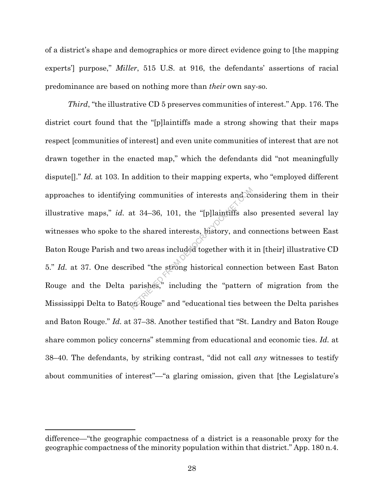of a district's shape and demographics or more direct evidence going to [the mapping experts'] purpose," *Miller*, 515 U.S. at 916, the defendants' assertions of racial predominance are based on nothing more than *their* own say-so.

*Third*, "the illustrative CD 5 preserves communities of interest." App. 176. The district court found that the "[p]laintiffs made a strong showing that their maps respect [communities of interest] and even unite communities of interest that are not drawn together in the enacted map," which the defendants did "not meaningfully dispute<sup>[]</sup>." *Id.* at 103. In addition to their mapping experts, who "employed different approaches to identifying communities of interests and considering them in their illustrative maps," *id.* at 34–36, 101, the "[p]laintiffs also presented several lay witnesses who spoke to the shared interests, history, and connections between East Baton Rouge Parish and two areas included together with it in [their] illustrative CD 5." *Id.* at 37. One described "the strong historical connection between East Baton Rouge and the Delta parishes," including the "pattern of migration from the Mississippi Delta to Baton Rouge" and "educational ties between the Delta parishes and Baton Rouge." *Id.* at 37–38. Another testified that "St. Landry and Baton Rouge share common policy concerns" stemming from educational and economic ties. *Id.* at 38–40. The defendants, by striking contrast, "did not call *any* witnesses to testify about communities of interest"—"a glaring omission, given that [the Legislature's represents and the state of interests and the shared interests, history, and compared interests, history, and comparished "the strong historical connect parishes," including the "pattern on Rouge" and "educational ties bet

difference—"the geographic compactness of a district is a reasonable proxy for the geographic compactness of the minority population within that district." App. 180 n.4.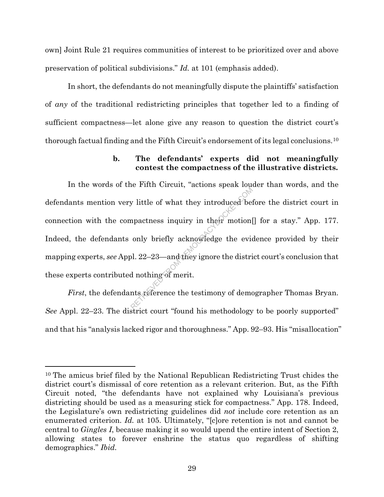own] Joint Rule 21 requires communities of interest to be prioritized over and above preservation of political subdivisions." *Id.* at 101 (emphasis added).

In short, the defendants do not meaningfully dispute the plaintiffs' satisfaction of *any* of the traditional redistricting principles that together led to a finding of sufficient compactness—let alone give any reason to question the district court's thorough factual finding and the Fifth Circuit's endorsement of its legal conclusions.10

## **b. The defendants' experts did not meaningfully contest the compactness of the illustrative districts.**

In the words of the Fifth Circuit, "actions speak louder than words, and the defendants mention very little of what they introduced before the district court in connection with the compactness inquiry in their motion[] for a stay." App. 177. Indeed, the defendants only briefly acknowledge the evidence provided by their mapping experts, *see* Appl. 22–23—and they ignore the district court's conclusion that these experts contributed nothing of merit. by little of what they introduced beind<br>negatives inquiry in their motion only briefly acknowledge the evidence<br>only briefly acknowledge the evidence<br>of the evidence of merit.

*First*, the defendants reference the testimony of demographer Thomas Bryan. *See* Appl. 22–23. The district court "found his methodology to be poorly supported" and that his "analysis lacked rigor and thoroughness." App. 92–93. His "misallocation"

<sup>10</sup> The amicus brief filed by the National Republican Redistricting Trust chides the district court's dismissal of core retention as a relevant criterion. But, as the Fifth Circuit noted, "the defendants have not explained why Louisiana's previous districting should be used as a measuring stick for compactness." App. 178. Indeed, the Legislature's own redistricting guidelines did *not* include core retention as an enumerated criterion. *Id.* at 105. Ultimately, "[c]ore retention is not and cannot be central to *Gingles I*, because making it so would upend the entire intent of Section 2, allowing states to forever enshrine the status quo regardless of shifting demographics." *Ibid.*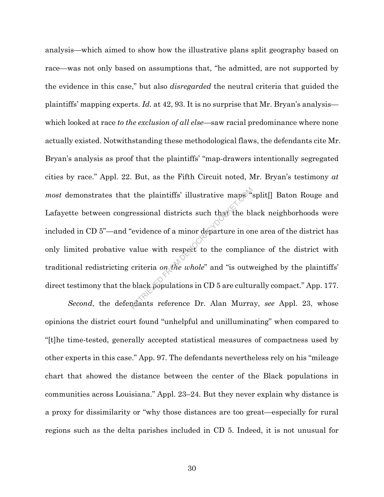analysis—which aimed to show how the illustrative plans split geography based on race—was not only based on assumptions that, "he admitted, are not supported by the evidence in this case," but also *disregarded* the neutral criteria that guided the plaintiffs' mapping experts. *Id.* at 42, 93. It is no surprise that Mr. Bryan's analysis which looked at race *to the exclusion of all else*—saw racial predominance where none actually existed. Notwithstanding these methodological flaws, the defendants cite Mr. Bryan's analysis as proof that the plaintiffs' "map-drawers intentionally segregated cities by race." Appl. 22. But, as the Fifth Circuit noted, Mr. Bryan's testimony *at most* demonstrates that the plaintiffs' illustrative maps "split[] Baton Rouge and Lafayette between congressional districts such that the black neighborhoods were included in CD 5"—and "evidence of a minor departure in one area of the district has only limited probative value with respect to the compliance of the district with traditional redistricting criteria *on the whole*" and "is outweighed by the plaintiffs' direct testimony that the black populations in CD 5 are culturally compact." App. 177. the plaintiffs' illustrative maps<br>ressional districts such that the bl<br>'evidence of a minor departure in or<br>value with respect to the complia<br>criteria on the whole" and "is outw<br>black populations in CD 5 are cultured<br>ants

*Second*, the defendants reference Dr. Alan Murray, *see* Appl. 23, whose opinions the district court found "unhelpful and unilluminating" when compared to "[t]he time-tested, generally accepted statistical measures of compactness used by other experts in this case." App. 97. The defendants nevertheless rely on his "mileage chart that showed the distance between the center of the Black populations in communities across Louisiana." Appl. 23–24. But they never explain why distance is a proxy for dissimilarity or "why those distances are too great—especially for rural regions such as the delta parishes included in CD 5. Indeed, it is not unusual for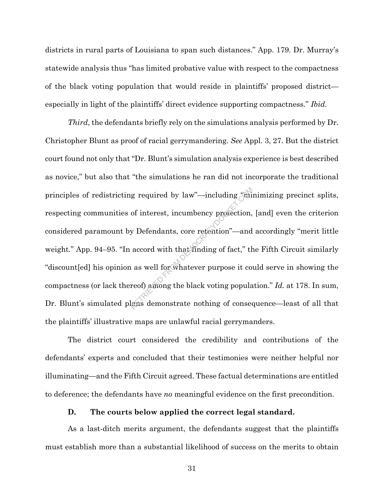districts in rural parts of Louisiana to span such distances." App. 179. Dr. Murray's statewide analysis thus "has limited probative value with respect to the compactness of the black voting population that would reside in plaintiffs' proposed district especially in light of the plaintiffs' direct evidence supporting compactness." *Ibid.*

*Third*, the defendants briefly rely on the simulations analysis performed by Dr. Christopher Blunt as proof of racial gerrymandering. *See* Appl. 3, 27. But the district court found not only that "Dr. Blunt's simulation analysis experience is best described as novice," but also that "the simulations he ran did not incorporate the traditional principles of redistricting required by law"—including "minimizing precinct splits, respecting communities of interest, incumbency protection, [and] even the criterion considered paramount by Defendants, core retention"—and accordingly "merit little weight." App. 94–95. "In accord with that finding of fact," the Fifth Circuit similarly "discount[ed] his opinion as well for whatever purpose it could serve in showing the compactness (or lack thereof) among the black voting population." *Id.* at 178. In sum, Dr. Blunt's simulated plans demonstrate nothing of consequence—least of all that the plaintiffs' illustrative maps are unlawful racial gerrymanders. g required by law"—including "mind"<br>of interest, incumbency protection,<br>y Defendants, core retention"—and<br>accord with that finding of fact," the<br>accord with that finding of fact," the<br>ass well for whatever purpose it core

The district court considered the credibility and contributions of the defendants' experts and concluded that their testimonies were neither helpful nor illuminating—and the Fifth Circuit agreed. These factual determinations are entitled to deference; the defendants have *no* meaningful evidence on the first precondition.

#### **D. The courts below applied the correct legal standard.**

As a last-ditch merits argument, the defendants suggest that the plaintiffs must establish more than a substantial likelihood of success on the merits to obtain

31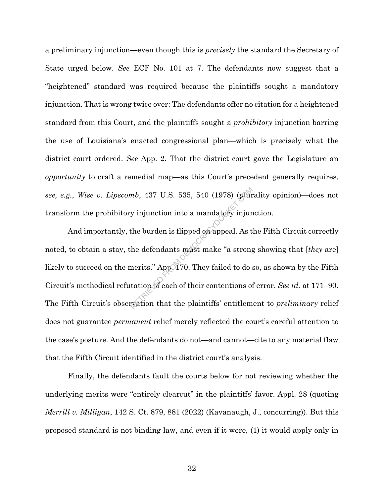a preliminary injunction—even though this is *precisely* the standard the Secretary of State urged below. *See* ECF No. 101 at 7. The defendants now suggest that a "heightened" standard was required because the plaintiffs sought a mandatory injunction. That is wrong twice over: The defendants offer no citation for a heightened standard from this Court, and the plaintiffs sought a *prohibitory* injunction barring the use of Louisiana's enacted congressional plan—which is precisely what the district court ordered. *See* App. 2. That the district court gave the Legislature an *opportunity* to craft a remedial map—as this Court's precedent generally requires, *see, e.g.*, *Wise v. Lipscomb*, 437 U.S. 535, 540 (1978) (plurality opinion)—does not transform the prohibitory injunction into a mandatory injunction.

And importantly, the burden is flipped on appeal. As the Fifth Circuit correctly noted, to obtain a stay, the defendants must make "a strong showing that [*they* are] likely to succeed on the merits." App. 170. They failed to do so, as shown by the Fifth Circuit's methodical refutation of each of their contentions of error. *See id.* at 171–90. The Fifth Circuit's observation that the plaintiffs' entitlement to *preliminary* relief does not guarantee *permanent* relief merely reflected the court's careful attention to the case's posture. And the defendants do not—and cannot—cite to any material flaw that the Fifth Circuit identified in the district court's analysis. mb, 437 U.S. 535, 540 (1978) (plur<br>y injunction into a mandatory injunction into a mandatory injunction<br>the burden is flipped on appeal. As t<br>he defendants must make "a strong<br>nerits." Appo 170. They failed to do s<br>tation

Finally, the defendants fault the courts below for not reviewing whether the underlying merits were "entirely clearcut" in the plaintiffs' favor. Appl. 28 (quoting *Merrill v. Milligan*, 142 S. Ct. 879, 881 (2022) (Kavanaugh, J., concurring)). But this proposed standard is not binding law, and even if it were, (1) it would apply only in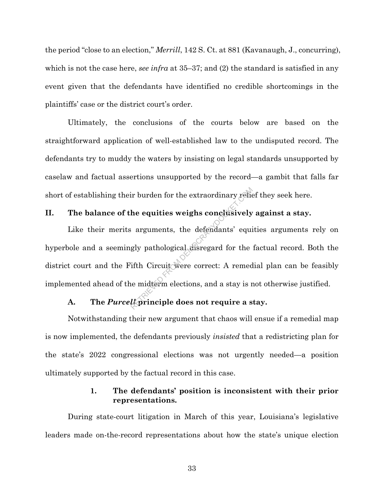the period "close to an election," *Merrill*, 142 S. Ct. at 881 (Kavanaugh, J., concurring), which is not the case here, *see infra* at 35–37; and (2) the standard is satisfied in any event given that the defendants have identified no credible shortcomings in the plaintiffs' case or the district court's order.

Ultimately, the conclusions of the courts below are based on the straightforward application of well-established law to the undisputed record. The defendants try to muddy the waters by insisting on legal standards unsupported by caselaw and factual assertions unsupported by the record—a gambit that falls far short of establishing their burden for the extraordinary relief they seek here.

# **II. The balance of the equities weighs conclusively against a stay.**

Like their merits arguments, the defendants' equities arguments rely on hyperbole and a seemingly pathological disregard for the factual record. Both the district court and the Fifth Circuit were correct: A remedial plan can be feasibly implemented ahead of the midterm elections, and a stay is not otherwise justified. ir burden for the extraordinary reflerence the equities weighs conclusively<br>arguments, the defendants' equinously<br>gly pathological disregard for the<br>if th Circuit were correct: A remed<br>ne midterm elections, and a stay is r

#### **A. The** *Purcell* **principle does not require a stay.**

Notwithstanding their new argument that chaos will ensue if a remedial map is now implemented, the defendants previously *insisted* that a redistricting plan for the state's 2022 congressional elections was not urgently needed—a position ultimately supported by the factual record in this case.

### **1. The defendants' position is inconsistent with their prior representations.**

During state-court litigation in March of this year, Louisiana's legislative leaders made on-the-record representations about how the state's unique election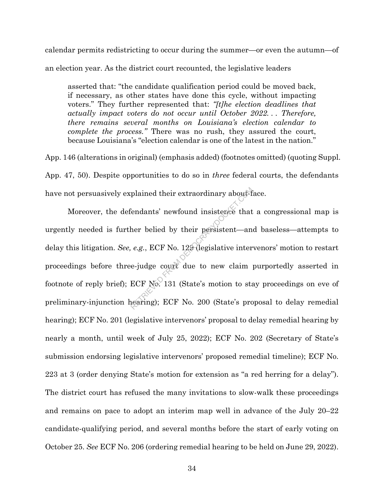calendar permits redistricting to occur during the summer—or even the autumn—of an election year. As the district court recounted, the legislative leaders

asserted that: "the candidate qualification period could be moved back, if necessary, as other states have done this cycle, without impacting voters." They further represented that: *"[t]he election deadlines that actually impact voters do not occur until October 2022. . . Therefore, there remains several months on Louisiana's election calendar to complete the process."* There was no rush, they assured the court, because Louisiana's "election calendar is one of the latest in the nation."

App. 146 (alterations in original) (emphasis added) (footnotes omitted) (quoting Suppl. App. 47, 50). Despite opportunities to do so in *three* federal courts, the defendants have not persuasively explained their extraordinary about-face.

Moreover, the defendants' newfound insistence that a congressional map is urgently needed is further belied by their persistent—and baseless—attempts to delay this litigation. *See, e.g.*, ECF No. 129 (legislative intervenors' motion to restart proceedings before three-judge court due to new claim purportedly asserted in footnote of reply brief); ECF No. 131 (State's motion to stay proceedings on eve of preliminary-injunction hearing); ECF No. 200 (State's proposal to delay remedial hearing); ECF No. 201 (legislative intervenors' proposal to delay remedial hearing by nearly a month, until week of July 25, 2022); ECF No. 202 (Secretary of State's submission endorsing legislative intervenors' proposed remedial timeline); ECF No. 223 at 3 (order denying State's motion for extension as "a red herring for a delay"). The district court has refused the many invitations to slow-walk these proceedings and remains on pace to adopt an interim map well in advance of the July 20–22 candidate-qualifying period, and several months before the start of early voting on October 25. *See* ECF No. 206 (ordering remedial hearing to be held on June 29, 2022). plained their extraordinary about<sup>5</sup><br>
endants' newfound insistence that<br>
her belied by their persistent—an<br>
e.g., ECF No. 129 (legislative inter<br>
e-judge count due to new claim<br>
ECF No. 131 (State's motion to state<br>
pearin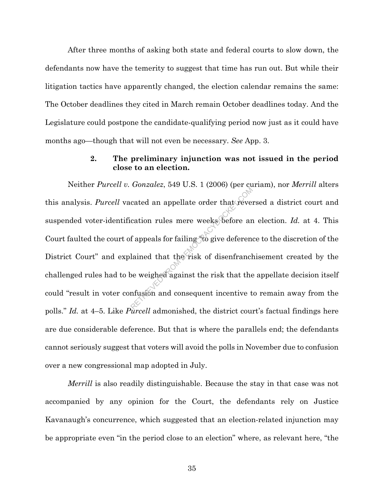After three months of asking both state and federal courts to slow down, the defendants now have the temerity to suggest that time has run out. But while their litigation tactics have apparently changed, the election calendar remains the same: The October deadlines they cited in March remain October deadlines today. And the Legislature could postpone the candidate-qualifying period now just as it could have months ago—though that will not even be necessary. *See* App. 3.

### **2. The preliminary injunction was not issued in the period close to an election.**

Neither *Purcell v. Gonzalez*, 549 U.S. 1 (2006) (per curiam), nor *Merrill* alters this analysis. *Purcell* vacated an appellate order that reversed a district court and suspended voter-identification rules mere weeks before an election. *Id.* at 4. This Court faulted the court of appeals for failing "to give deference to the discretion of the District Court" and explained that the risk of disenfranchisement created by the challenged rules had to be weighed against the risk that the appellate decision itself could "result in voter confusion and consequent incentive to remain away from the polls." *Id.* at 4–5. Like *Purcell* admonished, the district court's factual findings here are due considerable deference. But that is where the parallels end; the defendants cannot seriously suggest that voters will avoid the polls in November due to confusion over a new congressional map adopted in July. cated an appellate order that revert<br>cation rules mere weeks before are<br>f appeals for failing to give deferent<br>lained that the risk of disenfrance<br>be weighed against the risk that the<br>mfusion and consequent incentive t

*Merrill* is also readily distinguishable. Because the stay in that case was not accompanied by any opinion for the Court, the defendants rely on Justice Kavanaugh's concurrence, which suggested that an election-related injunction may be appropriate even "in the period close to an election" where, as relevant here, "the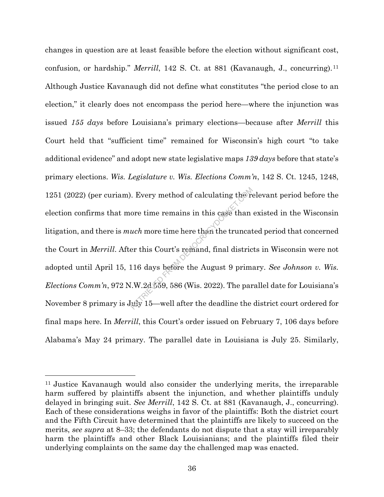changes in question are at least feasible before the election without significant cost, confusion, or hardship." *Merrill*, 142 S. Ct. at 881 (Kavanaugh, J., concurring).11 Although Justice Kavanaugh did not define what constitutes "the period close to an election," it clearly does not encompass the period here—where the injunction was issued *155 days* before Louisiana's primary elections—because after *Merrill* this Court held that "sufficient time" remained for Wisconsin's high court "to take additional evidence" and adopt new state legislative maps *139 days* before that state's primary elections. *Wis. Legislature v. Wis. Elections Comm'n*, 142 S. Ct. 1245, 1248, 1251 (2022) (per curiam). Every method of calculating the relevant period before the election confirms that more time remains in this case than existed in the Wisconsin litigation, and there is *much* more time here than the truncated period that concerned the Court in *Merrill*. After this Court's remand, final districts in Wisconsin were not adopted until April 15, 116 days before the August 9 primary. *See Johnson v. Wis. Elections Comm'n*, 972 N.W.2d 559, 586 (Wis. 2022). The parallel date for Louisiana's November 8 primary is July 15—well after the deadline the district court ordered for final maps here. In *Merrill*, this Court's order issued on February 7, 106 days before Alabama's May 24 primary. The parallel date in Louisiana is July 25. Similarly, Reflexered at the remains in this case than<br> *uch* more time here than the truncat<br>
er this Court's remand, final distric<br>
116 days before the August 9 prim:<br>
I.W.2d 559, 586 (Wis. 2022). The particle of the deadline the

<sup>11</sup> Justice Kavanaugh would also consider the underlying merits, the irreparable harm suffered by plaintiffs absent the injunction, and whether plaintiffs unduly delayed in bringing suit. *See Merrill*, 142 S. Ct. at 881 (Kavanaugh, J., concurring). Each of these considerations weighs in favor of the plaintiffs: Both the district court and the Fifth Circuit have determined that the plaintiffs are likely to succeed on the merits, *see supra* at 8–33; the defendants do not dispute that a stay will irreparably harm the plaintiffs and other Black Louisianians; and the plaintiffs filed their underlying complaints on the same day the challenged map was enacted.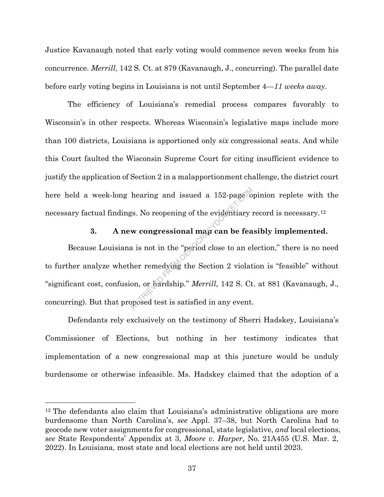Justice Kavanaugh noted that early voting would commence seven weeks from his concurrence. *Merrill*, 142 S. Ct. at 879 (Kavanaugh, J., concurring). The parallel date before early voting begins in Louisiana is not until September 4—*11 weeks away*.

The efficiency of Louisiana's remedial process compares favorably to Wisconsin's in other respects. Whereas Wisconsin's legislative maps include more than 100 districts, Louisiana is apportioned only *six* congressional seats. And while this Court faulted the Wisconsin Supreme Court for citing insufficient evidence to justify the application of Section 2 in a malapportionment challenge, the district court here held a week-long hearing and issued a 152-page opinion replete with the necessary factual findings. No reopening of the evidentiary record is necessary.12

# **3. A new congressional map can be feasibly implemented.**

Because Louisiana is not in the "period close to an election," there is no need to further analyze whether remedying the Section 2 violation is "feasible" without "significant cost, confusion, or hardship." *Merrill*, 142 S. Ct. at 881 (Kavanaugh, J., concurring). But that proposed test is satisfied in any event. hearing and issued a 152-page of<br>
The evidentiary<br> **EXECUTE:**<br> **EXECUTE:**<br> **EXECUTE:**<br> **EXECUTE:**<br> **EXECUTE:**<br> **EXECUTE:**<br> **EXECUTE:**<br> **EXECUTE:**<br> **EXECUTE:**<br> **EXECUTE:**<br> **EXECUTE:**<br> **EXECUTE:**<br> **EXECUTE:**<br> **EXECUTE:**<br> **EX** 

Defendants rely exclusively on the testimony of Sherri Hadskey, Louisiana's Commissioner of Elections, but nothing in her testimony indicates that implementation of a new congressional map at this juncture would be unduly burdensome or otherwise infeasible. Ms. Hadskey claimed that the adoption of a

<sup>12</sup> The defendants also claim that Louisiana's administrative obligations are more burdensome than North Carolina's, *see* Appl. 37–38, but North Carolina had to geocode new voter assignments for congressional, state legislative, *and* local elections, *see* State Respondents' Appendix at 3, *Moore v. Harper*, No. 21A455 (U.S. Mar. 2, 2022). In Louisiana, most state and local elections are not held until 2023.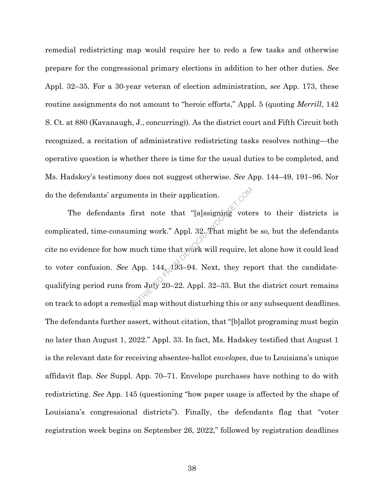remedial redistricting map would require her to redo a few tasks and otherwise prepare for the congressional primary elections in addition to her other duties. *See* Appl. 32–35. For a 30-year veteran of election administration, *see* App. 173, these routine assignments do not amount to "heroic efforts," Appl. 5 (quoting *Merrill*, 142 S. Ct. at 880 (Kavanaugh, J., concurring)). As the district court and Fifth Circuit both recognized, a recitation of administrative redistricting tasks resolves nothing—the operative question is whether there is time for the usual duties to be completed, and Ms. Hadskey's testimony does not suggest otherwise. *See* App. 144–49, 191–96. Nor do the defendants' arguments in their application.

The defendants first note that "[a]ssigning voters to their districts is complicated, time-consuming work." Appl. 32. That might be so, but the defendants cite no evidence for how much time that work will require, let alone how it could lead to voter confusion. *See* App. 144, 193–94. Next, they report that the candidatequalifying period runs from July 20–22. Appl. 32–33. But the district court remains on track to adopt a remedial map without disturbing this or any subsequent deadlines. The defendants further assert, without citation, that "[b]allot programing must begin no later than August 1, 2022." Appl. 33. In fact, Ms. Hadskey testified that August 1 is the relevant date for receiving absentee-ballot *envelopes*, due to Louisiana's unique affidavit flap. *See* Suppl. App. 70–71. Envelope purchases have nothing to do with redistricting. *See* App. 145 (questioning "how paper usage is affected by the shape of Louisiana's congressional districts"). Finally, the defendants flag that "voter registration week begins on September 26, 2022," followed by registration deadlines ments in their application.<br>
first note that "[a]ssigning vote ming work." Appl. 32. That might b<br>
much time that work will require, le<br>
App. 144. 193-94. Next, they rep<br>
com July 20-22. Appl. 32-33. But there were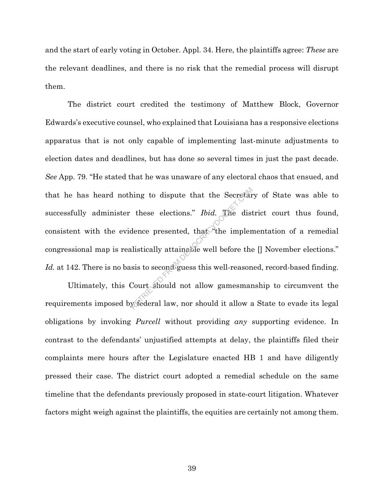and the start of early voting in October. Appl. 34. Here, the plaintiffs agree: *These* are the relevant deadlines, and there is no risk that the remedial process will disrupt them.

The district court credited the testimony of Matthew Block, Governor Edwards's executive counsel, who explained that Louisiana has a responsive elections apparatus that is not only capable of implementing last-minute adjustments to election dates and deadlines, but has done so several times in just the past decade. *See* App. 79. "He stated that he was unaware of any electoral chaos that ensued, and that he has heard nothing to dispute that the Secretary of State was able to successfully administer these elections." *Ibid.* The district court thus found, consistent with the evidence presented, that  $\widehat{\ }$  the implementation of a remedial congressional map is realistically attainable well before the [] November elections." Id. at 142. There is no basis to second guess this well-reasoned, record-based finding. hing to dispute that the Secretar<br>these elections." *Ibid*. The dist<br>dence presented, that the implem<br>alistically attainable well before the<br>sis to second guess this well-reason<br>Court should not allow gamesmar<br>y federal la

Ultimately, this Court should not allow gamesmanship to circumvent the requirements imposed by federal law, nor should it allow a State to evade its legal obligations by invoking *Purcell* without providing *any* supporting evidence. In contrast to the defendants' unjustified attempts at delay, the plaintiffs filed their complaints mere hours after the Legislature enacted HB 1 and have diligently pressed their case. The district court adopted a remedial schedule on the same timeline that the defendants previously proposed in state-court litigation. Whatever factors might weigh against the plaintiffs, the equities are certainly not among them.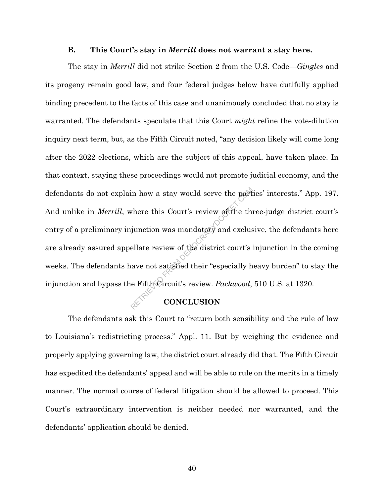#### **B. This Court's stay in** *Merrill* **does not warrant a stay here.**

The stay in *Merrill* did not strike Section 2 from the U.S. Code—*Gingles* and its progeny remain good law, and four federal judges below have dutifully applied binding precedent to the facts of this case and unanimously concluded that no stay is warranted. The defendants speculate that this Court *might* refine the vote-dilution inquiry next term, but, as the Fifth Circuit noted, "any decision likely will come long after the 2022 elections, which are the subject of this appeal, have taken place. In that context, staying these proceedings would not promote judicial economy, and the defendants do not explain how a stay would serve the parties' interests." App. 197. And unlike in *Merrill*, where this Court's review of the three-judge district court's entry of a preliminary injunction was mandatory and exclusive, the defendants here are already assured appellate review of the district court's injunction in the coming weeks. The defendants have not satisfied their "especially heavy burden" to stay the injunction and bypass the Fifth Circuit's review. *Packwood*, 510 U.S. at 1320. FROM THE SURVEY OF THE RETRIEVED FROM THE UNION SURVEY OF THE UNION AND RETRIEVED FROM THE RETRIEVED ON CONCLUSION

# **CONCLUSION**

The defendants ask this Court to "return both sensibility and the rule of law to Louisiana's redistricting process." Appl. 11. But by weighing the evidence and properly applying governing law, the district court already did that. The Fifth Circuit has expedited the defendants' appeal and will be able to rule on the merits in a timely manner. The normal course of federal litigation should be allowed to proceed. This Court's extraordinary intervention is neither needed nor warranted, and the defendants' application should be denied.